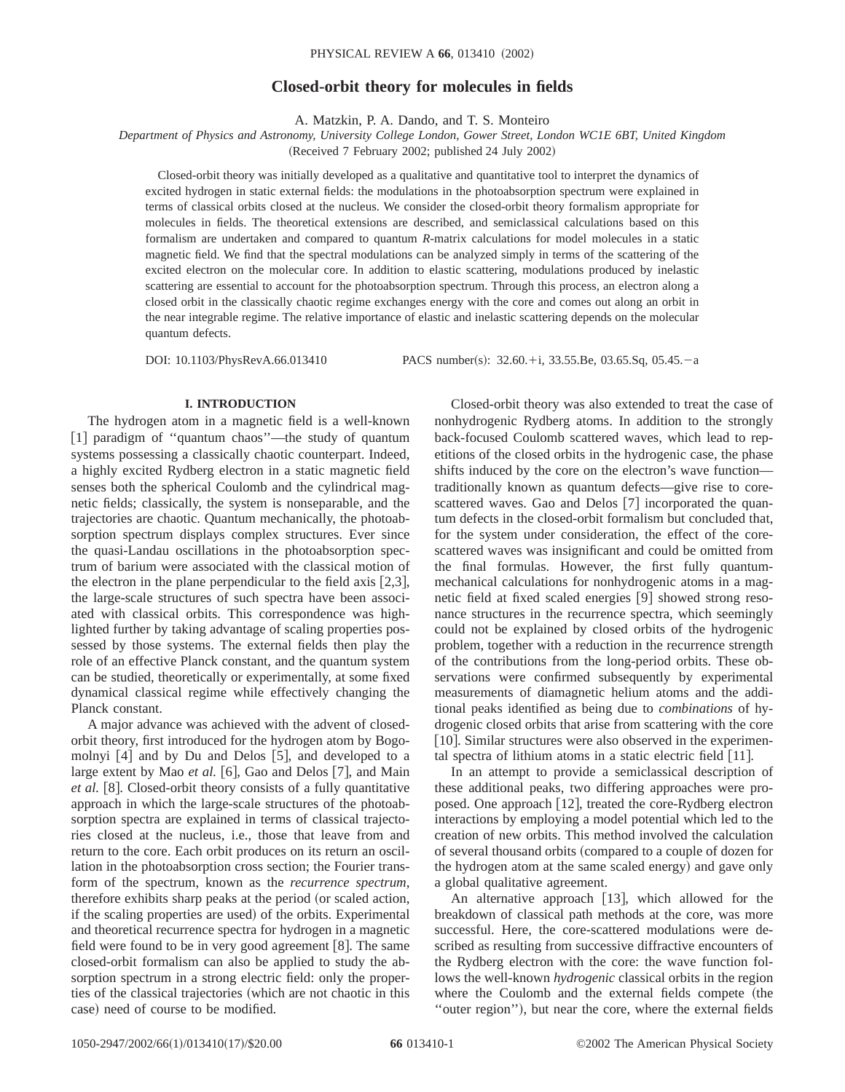# **Closed-orbit theory for molecules in fields**

A. Matzkin, P. A. Dando, and T. S. Monteiro

*Department of Physics and Astronomy, University College London, Gower Street, London WC1E 6BT, United Kingdom* (Received 7 February 2002; published 24 July 2002)

Closed-orbit theory was initially developed as a qualitative and quantitative tool to interpret the dynamics of excited hydrogen in static external fields: the modulations in the photoabsorption spectrum were explained in terms of classical orbits closed at the nucleus. We consider the closed-orbit theory formalism appropriate for molecules in fields. The theoretical extensions are described, and semiclassical calculations based on this formalism are undertaken and compared to quantum *R*-matrix calculations for model molecules in a static magnetic field. We find that the spectral modulations can be analyzed simply in terms of the scattering of the excited electron on the molecular core. In addition to elastic scattering, modulations produced by inelastic scattering are essential to account for the photoabsorption spectrum. Through this process, an electron along a closed orbit in the classically chaotic regime exchanges energy with the core and comes out along an orbit in the near integrable regime. The relative importance of elastic and inelastic scattering depends on the molecular quantum defects.

DOI: 10.1103/PhysRevA.66.013410 PACS number(s): 32.60.+i, 33.55.Be, 03.65.Sq, 05.45.-a

# **I. INTRODUCTION**

The hydrogen atom in a magnetic field is a well-known [1] paradigm of "quantum chaos"—the study of quantum systems possessing a classically chaotic counterpart. Indeed, a highly excited Rydberg electron in a static magnetic field senses both the spherical Coulomb and the cylindrical magnetic fields; classically, the system is nonseparable, and the trajectories are chaotic. Quantum mechanically, the photoabsorption spectrum displays complex structures. Ever since the quasi-Landau oscillations in the photoabsorption spectrum of barium were associated with the classical motion of the electron in the plane perpendicular to the field axis  $[2,3]$ , the large-scale structures of such spectra have been associated with classical orbits. This correspondence was highlighted further by taking advantage of scaling properties possessed by those systems. The external fields then play the role of an effective Planck constant, and the quantum system can be studied, theoretically or experimentally, at some fixed dynamical classical regime while effectively changing the Planck constant.

A major advance was achieved with the advent of closedorbit theory, first introduced for the hydrogen atom by Bogomolnyi  $[4]$  and by Du and Delos  $[5]$ , and developed to a large extent by Mao et al. [6], Gao and Delos [7], and Main *et al.* [8]. Closed-orbit theory consists of a fully quantitative approach in which the large-scale structures of the photoabsorption spectra are explained in terms of classical trajectories closed at the nucleus, i.e., those that leave from and return to the core. Each orbit produces on its return an oscillation in the photoabsorption cross section; the Fourier transform of the spectrum, known as the *recurrence spectrum*, therefore exhibits sharp peaks at the period (or scaled action, if the scaling properties are used) of the orbits. Experimental and theoretical recurrence spectra for hydrogen in a magnetic field were found to be in very good agreement  $[8]$ . The same closed-orbit formalism can also be applied to study the absorption spectrum in a strong electric field: only the properties of the classical trajectories (which are not chaotic in this case) need of course to be modified.

Closed-orbit theory was also extended to treat the case of nonhydrogenic Rydberg atoms. In addition to the strongly back-focused Coulomb scattered waves, which lead to repetitions of the closed orbits in the hydrogenic case, the phase shifts induced by the core on the electron's wave function traditionally known as quantum defects—give rise to corescattered waves. Gao and Delos  $[7]$  incorporated the quantum defects in the closed-orbit formalism but concluded that, for the system under consideration, the effect of the corescattered waves was insignificant and could be omitted from the final formulas. However, the first fully quantummechanical calculations for nonhydrogenic atoms in a magnetic field at fixed scaled energies [9] showed strong resonance structures in the recurrence spectra, which seemingly could not be explained by closed orbits of the hydrogenic problem, together with a reduction in the recurrence strength of the contributions from the long-period orbits. These observations were confirmed subsequently by experimental measurements of diamagnetic helium atoms and the additional peaks identified as being due to *combinations* of hydrogenic closed orbits that arise from scattering with the core [10]. Similar structures were also observed in the experimental spectra of lithium atoms in a static electric field  $[11]$ .

In an attempt to provide a semiclassical description of these additional peaks, two differing approaches were proposed. One approach  $[12]$ , treated the core-Rydberg electron interactions by employing a model potential which led to the creation of new orbits. This method involved the calculation of several thousand orbits (compared to a couple of dozen for the hydrogen atom at the same scaled energy) and gave only a global qualitative agreement.

An alternative approach  $[13]$ , which allowed for the breakdown of classical path methods at the core, was more successful. Here, the core-scattered modulations were described as resulting from successive diffractive encounters of the Rydberg electron with the core: the wave function follows the well-known *hydrogenic* classical orbits in the region where the Coulomb and the external fields compete (the "outer region"), but near the core, where the external fields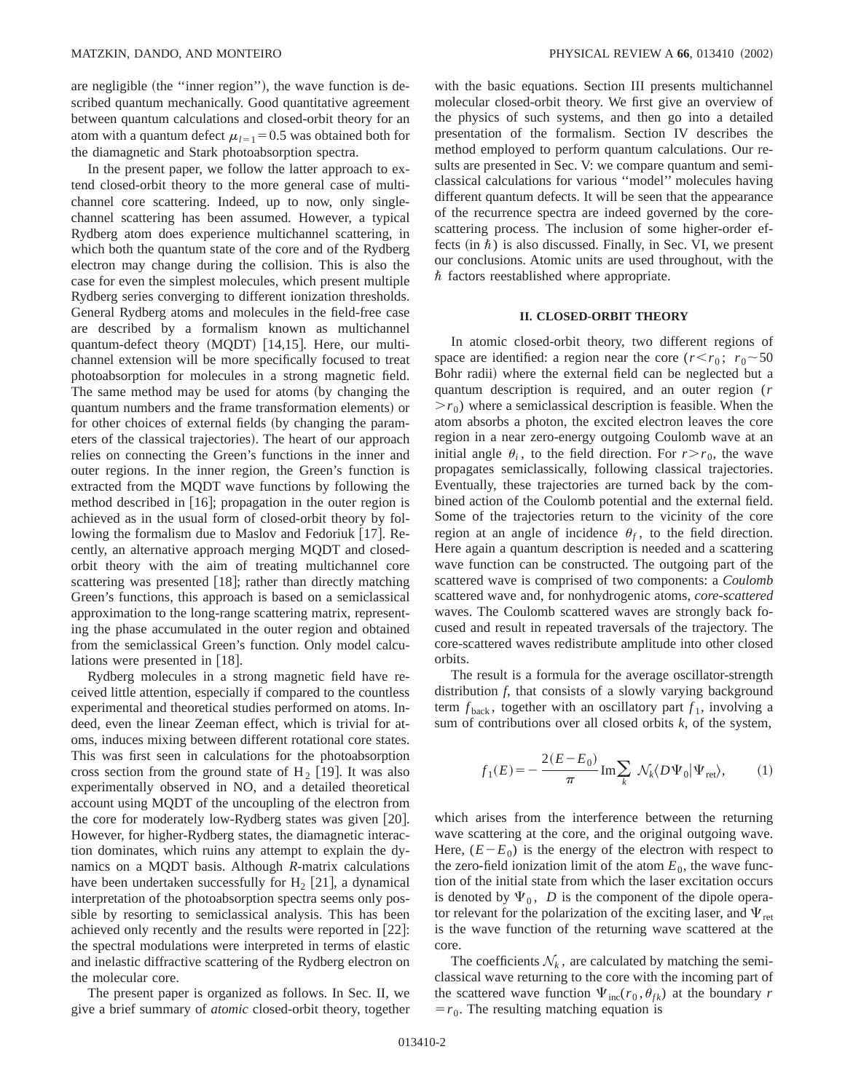are negligible (the "inner region"), the wave function is described quantum mechanically. Good quantitative agreement between quantum calculations and closed-orbit theory for an atom with a quantum defect  $\mu_{l=1} = 0.5$  was obtained both for the diamagnetic and Stark photoabsorption spectra.

In the present paper, we follow the latter approach to extend closed-orbit theory to the more general case of multichannel core scattering. Indeed, up to now, only singlechannel scattering has been assumed. However, a typical Rydberg atom does experience multichannel scattering, in which both the quantum state of the core and of the Rydberg electron may change during the collision. This is also the case for even the simplest molecules, which present multiple Rydberg series converging to different ionization thresholds. General Rydberg atoms and molecules in the field-free case are described by a formalism known as multichannel quantum-defect theory  $(MQDT)$  [14,15]. Here, our multichannel extension will be more specifically focused to treat photoabsorption for molecules in a strong magnetic field. The same method may be used for atoms (by changing the quantum numbers and the frame transformation elements) or for other choices of external fields (by changing the parameters of the classical trajectories). The heart of our approach relies on connecting the Green's functions in the inner and outer regions. In the inner region, the Green's function is extracted from the MQDT wave functions by following the method described in  $[16]$ ; propagation in the outer region is achieved as in the usual form of closed-orbit theory by following the formalism due to Maslov and Fedoriuk  $[17]$ . Recently, an alternative approach merging MQDT and closedorbit theory with the aim of treating multichannel core scattering was presented  $[18]$ ; rather than directly matching Green's functions, this approach is based on a semiclassical approximation to the long-range scattering matrix, representing the phase accumulated in the outer region and obtained from the semiclassical Green's function. Only model calculations were presented in  $[18]$ .

Rydberg molecules in a strong magnetic field have received little attention, especially if compared to the countless experimental and theoretical studies performed on atoms. Indeed, even the linear Zeeman effect, which is trivial for atoms, induces mixing between different rotational core states. This was first seen in calculations for the photoabsorption cross section from the ground state of  $H_2$  [19]. It was also experimentally observed in NO, and a detailed theoretical account using MQDT of the uncoupling of the electron from the core for moderately low-Rydberg states was given [20]. However, for higher-Rydberg states, the diamagnetic interaction dominates, which ruins any attempt to explain the dynamics on a MQDT basis. Although *R*-matrix calculations have been undertaken successfully for  $H_2$  [21], a dynamical interpretation of the photoabsorption spectra seems only possible by resorting to semiclassical analysis. This has been achieved only recently and the results were reported in  $[22]$ : the spectral modulations were interpreted in terms of elastic and inelastic diffractive scattering of the Rydberg electron on the molecular core.

The present paper is organized as follows. In Sec. II, we give a brief summary of *atomic* closed-orbit theory, together with the basic equations. Section III presents multichannel molecular closed-orbit theory. We first give an overview of the physics of such systems, and then go into a detailed presentation of the formalism. Section IV describes the method employed to perform quantum calculations. Our results are presented in Sec. V: we compare quantum and semiclassical calculations for various ''model'' molecules having different quantum defects. It will be seen that the appearance of the recurrence spectra are indeed governed by the corescattering process. The inclusion of some higher-order effects  $(in \hbar)$  is also discussed. Finally, in Sec. VI, we present our conclusions. Atomic units are used throughout, with the  $\hbar$  factors reestablished where appropriate.

# **II. CLOSED-ORBIT THEORY**

In atomic closed-orbit theory, two different regions of space are identified: a region near the core  $(r \le r_0; r_0 \le 50)$ Bohr radii) where the external field can be neglected but a quantum description is required, and an outer region (*r*  $\langle r_0 \rangle$  where a semiclassical description is feasible. When the atom absorbs a photon, the excited electron leaves the core region in a near zero-energy outgoing Coulomb wave at an initial angle  $\theta_i$ , to the field direction. For  $r > r_0$ , the wave propagates semiclassically, following classical trajectories. Eventually, these trajectories are turned back by the combined action of the Coulomb potential and the external field. Some of the trajectories return to the vicinity of the core region at an angle of incidence  $\theta_f$ , to the field direction. Here again a quantum description is needed and a scattering wave function can be constructed. The outgoing part of the scattered wave is comprised of two components: a *Coulomb* scattered wave and, for nonhydrogenic atoms, *core-scattered* waves. The Coulomb scattered waves are strongly back focused and result in repeated traversals of the trajectory. The core-scattered waves redistribute amplitude into other closed orbits.

The result is a formula for the average oscillator-strength distribution *f*, that consists of a slowly varying background term  $f_{\text{back}}$ , together with an oscillatory part  $f_1$ , involving a sum of contributions over all closed orbits *k*, of the system,

$$
f_1(E) = -\frac{2(E - E_0)}{\pi} \operatorname{Im} \sum_k \mathcal{N}_k \langle D\Psi_0 | \Psi_{\text{ret}} \rangle, \tag{1}
$$

which arises from the interference between the returning wave scattering at the core, and the original outgoing wave. Here,  $(E-E_0)$  is the energy of the electron with respect to the zero-field ionization limit of the atom  $E_0$ , the wave function of the initial state from which the laser excitation occurs is denoted by  $\Psi_0$ , *D* is the component of the dipole operator relevant for the polarization of the exciting laser, and  $\Psi_{\text{ret}}$ is the wave function of the returning wave scattered at the core.

The coefficients  $\mathcal{N}_k$ , are calculated by matching the semiclassical wave returning to the core with the incoming part of the scattered wave function  $\Psi_{\text{inc}}(r_0, \theta_{fk})$  at the boundary *r*  $=r_0$ . The resulting matching equation is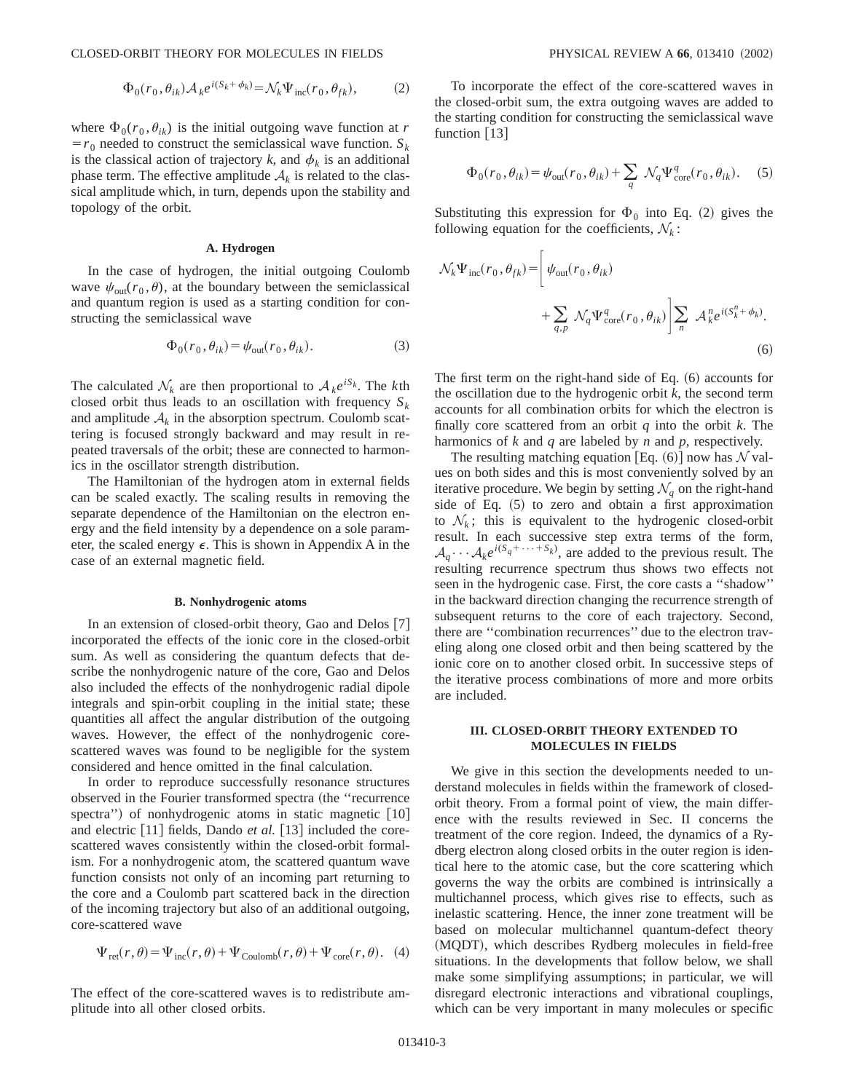CLOSED-ORBIT THEORY FOR MOLECULES IN FIELDS PHYSICAL REVIEW A 66, 013410 (2002)

$$
\Phi_0(r_0, \theta_{ik}) \mathcal{A}_k e^{i(S_k + \phi_k)} = \mathcal{N}_k \Psi_{\text{inc}}(r_0, \theta_{fk}), \tag{2}
$$

where  $\Phi_0(r_0, \theta_{ik})$  is the initial outgoing wave function at *r*  $=r_0$  needed to construct the semiclassical wave function.  $S_k$ is the classical action of trajectory  $k$ , and  $\phi_k$  is an additional phase term. The effective amplitude  $A_k$  is related to the classical amplitude which, in turn, depends upon the stability and topology of the orbit.

# **A. Hydrogen**

In the case of hydrogen, the initial outgoing Coulomb wave  $\psi_{\text{out}}(r_0, \theta)$ , at the boundary between the semiclassical and quantum region is used as a starting condition for constructing the semiclassical wave

$$
\Phi_0(r_0, \theta_{ik}) = \psi_{\text{out}}(r_0, \theta_{ik}).\tag{3}
$$

The calculated  $\mathcal{N}_k$  are then proportional to  $\mathcal{A}_k e^{iS_k}$ . The *k*th closed orbit thus leads to an oscillation with frequency  $S_k$ and amplitude  $A_k$  in the absorption spectrum. Coulomb scattering is focused strongly backward and may result in repeated traversals of the orbit; these are connected to harmonics in the oscillator strength distribution.

The Hamiltonian of the hydrogen atom in external fields can be scaled exactly. The scaling results in removing the separate dependence of the Hamiltonian on the electron energy and the field intensity by a dependence on a sole parameter, the scaled energy  $\epsilon$ . This is shown in Appendix A in the case of an external magnetic field.

#### **B. Nonhydrogenic atoms**

In an extension of closed-orbit theory, Gao and Delos  $[7]$ incorporated the effects of the ionic core in the closed-orbit sum. As well as considering the quantum defects that describe the nonhydrogenic nature of the core, Gao and Delos also included the effects of the nonhydrogenic radial dipole integrals and spin-orbit coupling in the initial state; these quantities all affect the angular distribution of the outgoing waves. However, the effect of the nonhydrogenic corescattered waves was found to be negligible for the system considered and hence omitted in the final calculation.

In order to reproduce successfully resonance structures observed in the Fourier transformed spectra (the "recurrence spectra'') of nonhydrogenic atoms in static magnetic  $|10|$ and electric  $\lceil 11 \rceil$  fields, Dando *et al.*  $\lceil 13 \rceil$  included the corescattered waves consistently within the closed-orbit formalism. For a nonhydrogenic atom, the scattered quantum wave function consists not only of an incoming part returning to the core and a Coulomb part scattered back in the direction of the incoming trajectory but also of an additional outgoing, core-scattered wave

$$
\Psi_{\text{ref}}(r,\theta) = \Psi_{\text{inc}}(r,\theta) + \Psi_{\text{Coulomb}}(r,\theta) + \Psi_{\text{core}}(r,\theta). \tag{4}
$$

The effect of the core-scattered waves is to redistribute amplitude into all other closed orbits.

To incorporate the effect of the core-scattered waves in the closed-orbit sum, the extra outgoing waves are added to the starting condition for constructing the semiclassical wave function  $\lceil 13 \rceil$ 

$$
\Phi_0(r_0, \theta_{ik}) = \psi_{\text{out}}(r_0, \theta_{ik}) + \sum_q \mathcal{N}_q \Psi_{\text{core}}^q(r_0, \theta_{ik}).
$$
 (5)

Substituting this expression for  $\Phi_0$  into Eq. (2) gives the following equation for the coefficients,  $\mathcal{N}_k$ :

$$
\mathcal{N}_k \Psi_{\text{inc}}(r_0, \theta_{fk}) = \left[ \psi_{\text{out}}(r_0, \theta_{ik}) + \sum_{q,p} \mathcal{N}_q \Psi_{\text{core}}^q(r_0, \theta_{ik}) \right] \sum_n \mathcal{A}_k^n e^{i(S_k^n + \phi_k)}.
$$
\n(6)

The first term on the right-hand side of Eq.  $(6)$  accounts for the oscillation due to the hydrogenic orbit *k*, the second term accounts for all combination orbits for which the electron is finally core scattered from an orbit *q* into the orbit *k*. The harmonics of *k* and *q* are labeled by *n* and *p*, respectively.

The resulting matching equation [Eq.  $(6)$ ] now has N values on both sides and this is most conveniently solved by an iterative procedure. We begin by setting  $\mathcal{N}_q$  on the right-hand side of Eq.  $(5)$  to zero and obtain a first approximation to  $\mathcal{N}_k$ ; this is equivalent to the hydrogenic closed-orbit result. In each successive step extra terms of the form,  $\mathcal{A}_q \cdots \mathcal{A}_k e^{i(S_q + \cdots + S_k)}$ , are added to the previous result. The resulting recurrence spectrum thus shows two effects not seen in the hydrogenic case. First, the core casts a ''shadow'' in the backward direction changing the recurrence strength of subsequent returns to the core of each trajectory. Second, there are ''combination recurrences'' due to the electron traveling along one closed orbit and then being scattered by the ionic core on to another closed orbit. In successive steps of the iterative process combinations of more and more orbits are included.

# **III. CLOSED-ORBIT THEORY EXTENDED TO MOLECULES IN FIELDS**

We give in this section the developments needed to understand molecules in fields within the framework of closedorbit theory. From a formal point of view, the main difference with the results reviewed in Sec. II concerns the treatment of the core region. Indeed, the dynamics of a Rydberg electron along closed orbits in the outer region is identical here to the atomic case, but the core scattering which governs the way the orbits are combined is intrinsically a multichannel process, which gives rise to effects, such as inelastic scattering. Hence, the inner zone treatment will be based on molecular multichannel quantum-defect theory (MQDT), which describes Rydberg molecules in field-free situations. In the developments that follow below, we shall make some simplifying assumptions; in particular, we will disregard electronic interactions and vibrational couplings, which can be very important in many molecules or specific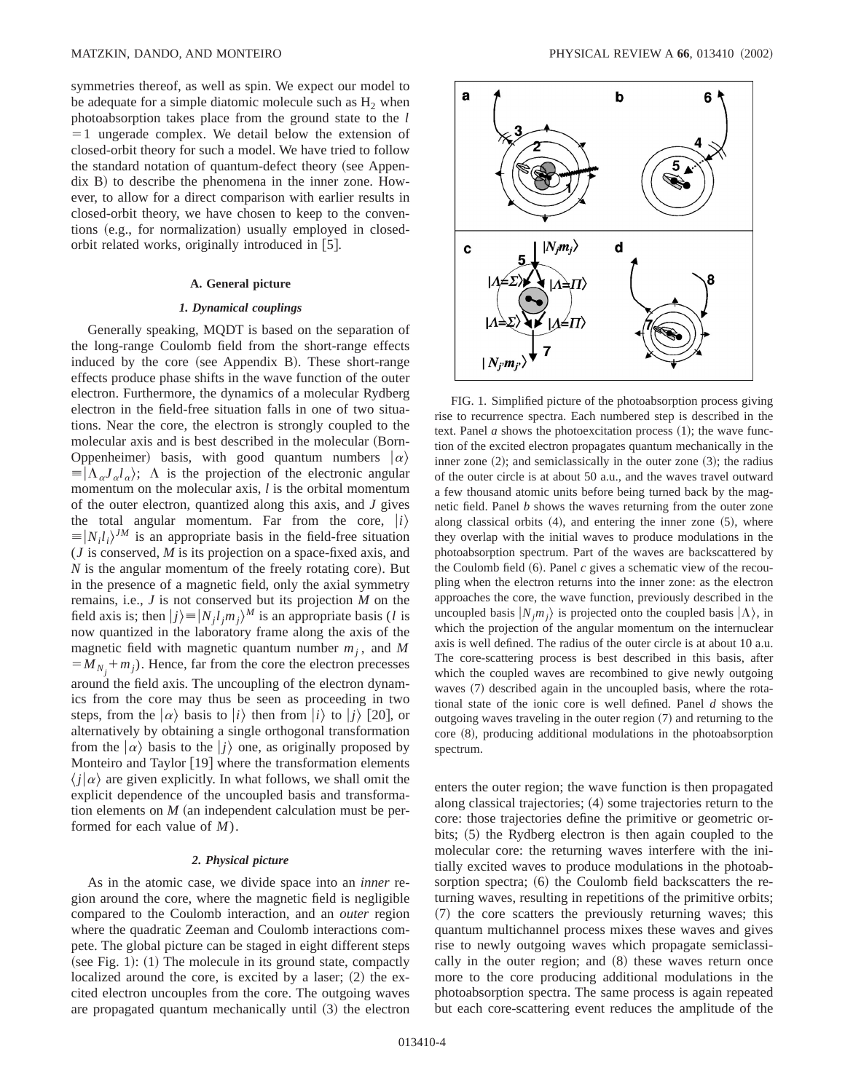symmetries thereof, as well as spin. We expect our model to be adequate for a simple diatomic molecule such as  $H_2$  when photoabsorption takes place from the ground state to the *l*  $=1$  ungerade complex. We detail below the extension of closed-orbit theory for such a model. We have tried to follow the standard notation of quantum-defect theory (see Appen $d$ ix  $B$ ) to describe the phenomena in the inner zone. However, to allow for a direct comparison with earlier results in closed-orbit theory, we have chosen to keep to the conventions (e.g., for normalization) usually employed in closedorbit related works, originally introduced in  $[5]$ .

## **A. General picture**

## *1. Dynamical couplings*

Generally speaking, MQDT is based on the separation of the long-range Coulomb field from the short-range effects induced by the core (see Appendix B). These short-range effects produce phase shifts in the wave function of the outer electron. Furthermore, the dynamics of a molecular Rydberg electron in the field-free situation falls in one of two situations. Near the core, the electron is strongly coupled to the molecular axis and is best described in the molecular (Born-Oppenheimer) basis, with good quantum numbers  $|\alpha\rangle$  $\equiv |\Lambda_{\alpha}J_{\alpha}l_{\alpha}\rangle$ ;  $\Lambda$  is the projection of the electronic angular momentum on the molecular axis, *l* is the orbital momentum of the outer electron, quantized along this axis, and *J* gives the total angular momentum. Far from the core,  $|i\rangle$  $\equiv |N_i l_i \rangle^{JM}$  is an appropriate basis in the field-free situation (*J* is conserved, *M* is its projection on a space-fixed axis, and  $N$  is the angular momentum of the freely rotating core). But in the presence of a magnetic field, only the axial symmetry remains, i.e., *J* is not conserved but its projection *M* on the field axis is; then  $|j\rangle = |N_j l_j m_j\rangle^M$  is an appropriate basis (*l* is now quantized in the laboratory frame along the axis of the magnetic field with magnetic quantum number  $m_i$ , and M  $=M_{N_j}$ + $m_j$ ). Hence, far from the core the electron precesses around the field axis. The uncoupling of the electron dynamics from the core may thus be seen as proceeding in two steps, from the  $|\alpha\rangle$  basis to  $|i\rangle$  then from  $|i\rangle$  to  $|j\rangle$  [20], or alternatively by obtaining a single orthogonal transformation from the  $|\alpha\rangle$  basis to the  $|j\rangle$  one, as originally proposed by Monteiro and Taylor  $[19]$  where the transformation elements  $\langle j | \alpha \rangle$  are given explicitly. In what follows, we shall omit the explicit dependence of the uncoupled basis and transformation elements on  $M$  (an independent calculation must be performed for each value of *M*).

## *2. Physical picture*

As in the atomic case, we divide space into an *inner* region around the core, where the magnetic field is negligible compared to the Coulomb interaction, and an *outer* region where the quadratic Zeeman and Coulomb interactions compete. The global picture can be staged in eight different steps (see Fig. 1):  $(1)$  The molecule in its ground state, compactly localized around the core, is excited by a laser;  $(2)$  the excited electron uncouples from the core. The outgoing waves are propagated quantum mechanically until  $(3)$  the electron



FIG. 1. Simplified picture of the photoabsorption process giving rise to recurrence spectra. Each numbered step is described in the text. Panel  $a$  shows the photoexcitation process  $(1)$ ; the wave function of the excited electron propagates quantum mechanically in the inner zone  $(2)$ ; and semiclassically in the outer zone  $(3)$ ; the radius of the outer circle is at about 50 a.u., and the waves travel outward a few thousand atomic units before being turned back by the magnetic field. Panel *b* shows the waves returning from the outer zone along classical orbits  $(4)$ , and entering the inner zone  $(5)$ , where they overlap with the initial waves to produce modulations in the photoabsorption spectrum. Part of the waves are backscattered by the Coulomb field  $(6)$ . Panel  $c$  gives a schematic view of the recoupling when the electron returns into the inner zone: as the electron approaches the core, the wave function, previously described in the uncoupled basis  $|N_j m_j\rangle$  is projected onto the coupled basis  $|\Lambda\rangle$ , in which the projection of the angular momentum on the internuclear axis is well defined. The radius of the outer circle is at about 10 a.u. The core-scattering process is best described in this basis, after which the coupled waves are recombined to give newly outgoing waves  $(7)$  described again in the uncoupled basis, where the rotational state of the ionic core is well defined. Panel *d* shows the outgoing waves traveling in the outer region  $(7)$  and returning to the  $core (8)$ , producing additional modulations in the photoabsorption spectrum.

enters the outer region; the wave function is then propagated along classical trajectories;  $(4)$  some trajectories return to the core: those trajectories define the primitive or geometric orbits;  $(5)$  the Rydberg electron is then again coupled to the molecular core: the returning waves interfere with the initially excited waves to produce modulations in the photoabsorption spectra;  $(6)$  the Coulomb field backscatters the returning waves, resulting in repetitions of the primitive orbits; ~7! the core scatters the previously returning waves; this quantum multichannel process mixes these waves and gives rise to newly outgoing waves which propagate semiclassically in the outer region; and  $(8)$  these waves return once more to the core producing additional modulations in the photoabsorption spectra. The same process is again repeated but each core-scattering event reduces the amplitude of the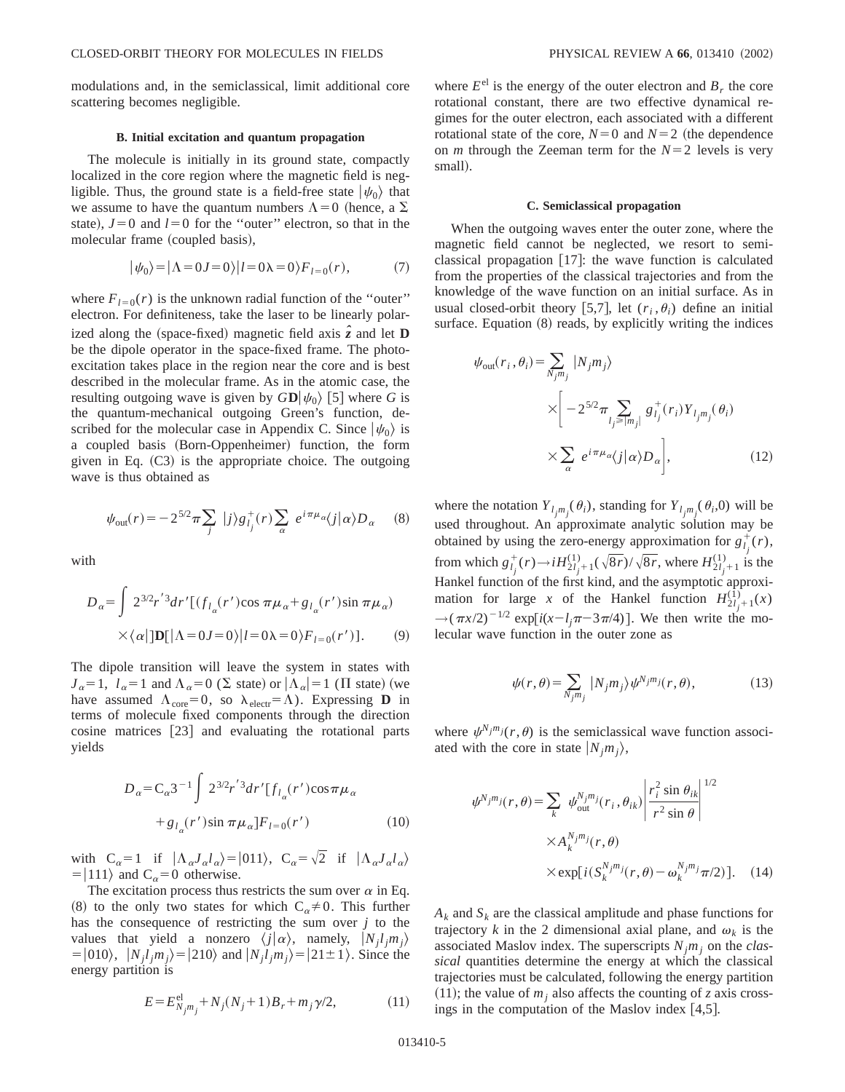modulations and, in the semiclassical, limit additional core scattering becomes negligible.

## **B. Initial excitation and quantum propagation**

The molecule is initially in its ground state, compactly localized in the core region where the magnetic field is negligible. Thus, the ground state is a field-free state  $|\psi_0\rangle$  that we assume to have the quantum numbers  $\Lambda = 0$  (hence, a  $\Sigma$ state),  $J=0$  and  $l=0$  for the "outer" electron, so that in the molecular frame (coupled basis),

$$
|\psi_0\rangle = |\Lambda = 0J = 0\rangle |l = 0\lambda = 0\rangle F_{l=0}(r),\tag{7}
$$

where  $F_{l=0}(r)$  is the unknown radial function of the "outer" electron. For definiteness, take the laser to be linearly polarized along the (space-fixed) magnetic field axis  $\hat{z}$  and let **D** be the dipole operator in the space-fixed frame. The photoexcitation takes place in the region near the core and is best described in the molecular frame. As in the atomic case, the resulting outgoing wave is given by  $GD|\psi_0\rangle$  [5] where *G* is the quantum-mechanical outgoing Green's function, described for the molecular case in Appendix C. Since  $|\psi_0\rangle$  is a coupled basis (Born-Oppenheimer) function, the form given in Eq.  $(C3)$  is the appropriate choice. The outgoing wave is thus obtained as

$$
\psi_{\text{out}}(r) = -2^{5/2}\pi \sum_{j} |j\rangle g_{l_j}^+(r) \sum_{\alpha} e^{i\pi\mu_{\alpha}} \langle j|\alpha\rangle D_{\alpha} \quad (8)
$$

with

$$
D_{\alpha} = \int 2^{3/2} r'^3 dr' \left[ (f_{l_{\alpha}}(r') \cos \pi \mu_{\alpha} + g_{l_{\alpha}}(r') \sin \pi \mu_{\alpha} ) \right]
$$

$$
\times \langle \alpha | ] \mathbf{D} [ |\Lambda = 0 J = 0 \rangle | l = 0 \lambda = 0 \rangle F_{l=0}(r') ]. \tag{9}
$$

The dipole transition will leave the system in states with  $J_{\alpha}=1$ ,  $l_{\alpha}=1$  and  $\Lambda_{\alpha}=0$  ( $\Sigma$  state) or  $|\Lambda_{\alpha}|=1$  ( $\Pi$  state) (we have assumed  $\Lambda_{\text{core}}=0$ , so  $\lambda_{\text{elect}}=\Lambda$ ). Expressing **D** in terms of molecule fixed components through the direction cosine matrices  $\lceil 23 \rceil$  and evaluating the rotational parts yields

$$
D_{\alpha} = C_{\alpha} 3^{-1} \int 2^{3/2} r'^3 dr' [f_{l_{\alpha}}(r') \cos \pi \mu_{\alpha} + g_{l_{\alpha}}(r') \sin \pi \mu_{\alpha}] F_{l=0}(r')
$$
 (10)

with  $C_{\alpha}=1$  if  $|\Lambda_{\alpha}J_{\alpha}l_{\alpha}\rangle=|011\rangle$ ,  $C_{\alpha}=\sqrt{2}$  if  $|\Lambda_{\alpha}J_{\alpha}l_{\alpha}\rangle$  $=$  |111) and C<sub> $\alpha$ </sub>=0 otherwise.

The excitation process thus restricts the sum over  $\alpha$  in Eq. (8) to the only two states for which  $C_\alpha \neq 0$ . This further has the consequence of restricting the sum over *j* to the values that yield a nonzero  $\langle j | \alpha \rangle$ , namely,  $|N_j l_j m_j \rangle$  $=|010\rangle, |N_j l_j m_j\rangle = |210\rangle$  and  $|N_j l_j m_j\rangle = |21 \pm 1\rangle$ . Since the energy partition is

$$
E = E_{N_j m_j}^{\text{el}} + N_j (N_j + 1) B_r + m_j \gamma / 2, \qquad (11)
$$

where  $E^{\text{el}}$  is the energy of the outer electron and  $B_r$ , the core rotational constant, there are two effective dynamical regimes for the outer electron, each associated with a different rotational state of the core,  $N=0$  and  $N=2$  (the dependence on *m* through the Zeeman term for the  $N=2$  levels is very small).

## **C. Semiclassical propagation**

When the outgoing waves enter the outer zone, where the magnetic field cannot be neglected, we resort to semiclassical propagation  $[17]$ : the wave function is calculated from the properties of the classical trajectories and from the knowledge of the wave function on an initial surface. As in usual closed-orbit theory [5,7], let  $(r_i, \theta_i)$  define an initial surface. Equation  $(8)$  reads, by explicitly writing the indices

$$
\psi_{\text{out}}(r_i, \theta_i) = \sum_{N_j m_j} |N_j m_j\rangle
$$
  
 
$$
\times \left[ -2^{5/2} \pi \sum_{l_j \ge |m_j|} g_{l_j}^+(r_i) Y_{l_j m_j}(\theta_i) \right]
$$
  
 
$$
\times \sum_{\alpha} e^{i \pi \mu_{\alpha}} \langle j | \alpha \rangle D_{\alpha} \right],
$$
 (12)

where the notation  $Y_{l_j m_j}(\theta_i)$ , standing for  $Y_{l_j m_j}(\theta_i, 0)$  will be used throughout. An approximate analytic solution may be obtained by using the zero-energy approximation for  $g_{i_j}^+(r)$ , from which  $g_{l_j}^+(r) \to iH_{2l_j+1}^{(1)}(\sqrt{8r})/\sqrt{8r}$ , where  $H_{2l_j+1}^{(1)}$  is the Hankel function of the first kind, and the asymptotic approximation for large *x* of the Hankel function  $H_{2l_j+1}^{(1)}(x)$  $\rightarrow (\pi x/2)^{-1/2}$  exp[ $i(x-l_j\pi-3\pi/4)$ ]. We then write the molecular wave function in the outer zone as

$$
\psi(r,\theta) = \sum_{N_j m_j} |N_j m_j\rangle \psi^{N_j m_j}(r,\theta),\tag{13}
$$

where  $\psi^{N_j m_j}(r,\theta)$  is the semiclassical wave function associated with the core in state  $|N_j m_j\rangle$ ,

$$
\psi^{N_j m_j}(r,\theta) = \sum_{k} \psi^{N_j m_j}_{\text{out}}(r_i, \theta_{ik}) \left| \frac{r_i^2 \sin \theta_{ik}}{r^2 \sin \theta} \right|^{1/2}
$$

$$
\times A_k^{N_j m_j}(r,\theta)
$$

$$
\times \exp[i(S_k^{N_j m_j}(r,\theta) - \omega_k^{N_j m_j} \pi/2)]. \quad (14)
$$

 $A_k$  and  $S_k$  are the classical amplitude and phase functions for trajectory *k* in the 2 dimensional axial plane, and  $\omega_k$  is the associated Maslov index. The superscripts *Njmj* on the *classical* quantities determine the energy at which the classical trajectories must be calculated, following the energy partition  $(11)$ ; the value of  $m_j$  also affects the counting of *z* axis crossings in the computation of the Maslov index  $[4,5]$ .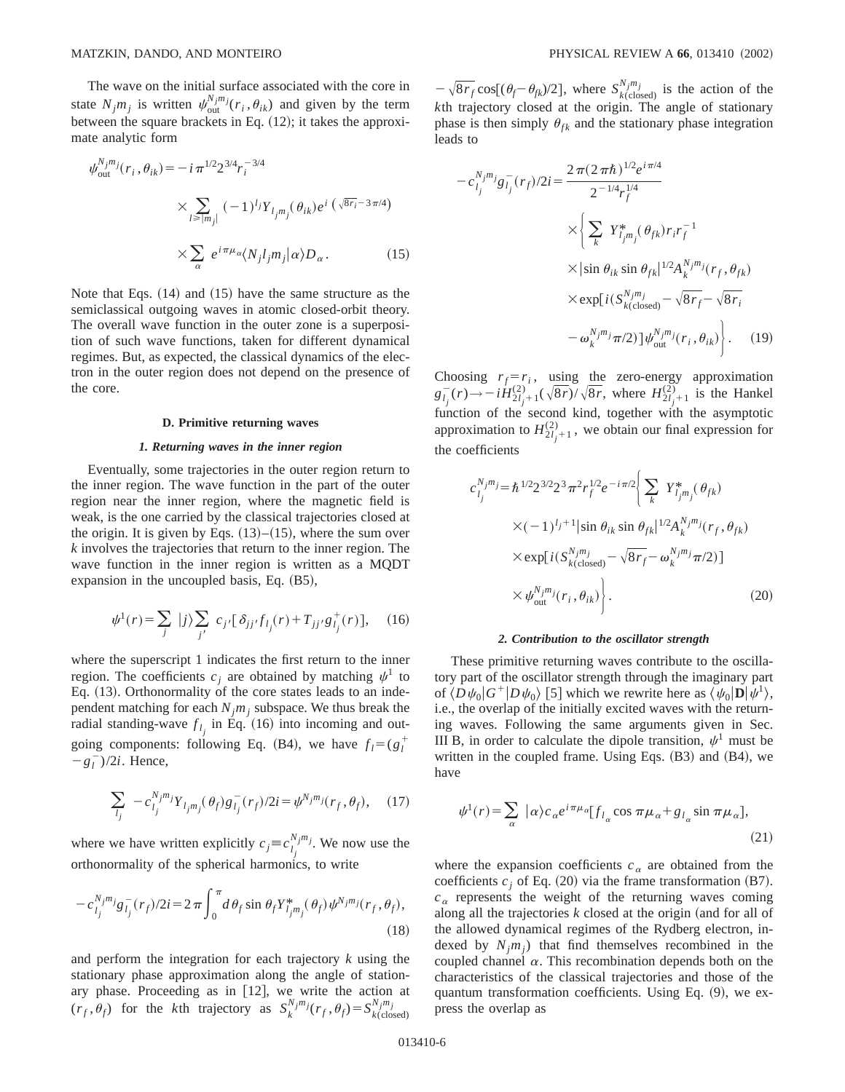The wave on the initial surface associated with the core in state  $N_j m_j$  is written  $\psi_{\text{out}}^{N_j m_j}(r_i, \theta_{ik})$  and given by the term between the square brackets in Eq.  $(12)$ ; it takes the approximate analytic form

$$
\psi_{\text{out}}^{N_j m_j}(r_i, \theta_{ik}) = -i \pi^{1/2} 2^{3/4} r_i^{-3/4}
$$

$$
\times \sum_{l \ge |m_j|} (-1)^{l_j} Y_{l_j m_j}(\theta_{ik}) e^{i \left(\sqrt{8r_i} - 3\pi/4\right)}
$$

$$
\times \sum_{\alpha} e^{i \pi \mu_{\alpha}} \langle N_j l_j m_j | \alpha \rangle D_{\alpha}.
$$
(15)

Note that Eqs.  $(14)$  and  $(15)$  have the same structure as the semiclassical outgoing waves in atomic closed-orbit theory. The overall wave function in the outer zone is a superposition of such wave functions, taken for different dynamical regimes. But, as expected, the classical dynamics of the electron in the outer region does not depend on the presence of the core.

## **D. Primitive returning waves**

## *1. Returning waves in the inner region*

Eventually, some trajectories in the outer region return to the inner region. The wave function in the part of the outer region near the inner region, where the magnetic field is weak, is the one carried by the classical trajectories closed at the origin. It is given by Eqs.  $(13)–(15)$ , where the sum over *k* involves the trajectories that return to the inner region. The wave function in the inner region is written as a MQDT expansion in the uncoupled basis, Eq.  $(B5)$ ,

$$
\psi^1(r) = \sum_j |j\rangle \sum_{j'} c_{j'} [\delta_{jj'} f_{l_j}(r) + T_{jj'} g^+_{l_j}(r)], \quad (16)
$$

where the superscript 1 indicates the first return to the inner region. The coefficients  $c_i$  are obtained by matching  $\psi^1$  to Eq. (13). Orthonormality of the core states leads to an independent matching for each  $N_j m_j$  subspace. We thus break the radial standing-wave  $f_{l_j}$  in Eq. (16) into incoming and outgoing components: following Eq. (B4), we have  $f_l = (g_l^+)$  $-g_l^-$ )/2*i*. Hence,

$$
\sum_{l_j} -c_{l_j}^{N_j m_j} Y_{l_j m_j}(\theta_f) g_{l_j}^-(r_f)/2i = \psi^{N_j m_j}(r_f, \theta_f), \quad (17)
$$

where we have written explicitly  $c_j \equiv c_{l_j}^{N_j m_j}$ . We now use the orthonormality of the spherical harmonics, to write

$$
-c_{l_j}^{N_j m_j} g_{l_j}^-(r_f)/2i = 2\pi \int_0^{\pi} d\theta_f \sin \theta_f Y_{l_j m_j}^*(\theta_f) \psi^{N_j m_j}(r_f, \theta_f),
$$
\n(18)

and perform the integration for each trajectory *k* using the stationary phase approximation along the angle of stationary phase. Proceeding as in  $[12]$ , we write the action at  $(r_f, \theta_f)$  for the *k*th trajectory as  $S_k^{N_j m_j}(r_f, \theta_f) = S_{k(\text{closed})}^{N_j m_j}$ 

 $-\sqrt{8r_f}\cos[(\theta_f-\theta_{fk})/2]$ , where  $S_{k(\text{closed})}^{N_j m_j}$  is the action of the *k*th trajectory closed at the origin. The angle of stationary phase is then simply  $\theta_{fk}$  and the stationary phase integration leads to

$$
-c_{l_j}^{N_j m_j} g_{l_j}^-(r_f)/2i = \frac{2\pi (2\pi\hbar)^{1/2} e^{i\pi/4}}{2^{-1/4} r_f^{1/4}}
$$
  
\n
$$
\times \left\{ \sum_k Y_{l_j m_j}^*(\theta_{fk}) r_i r_f^{-1} \times |\sin \theta_{ik} \sin \theta_{fk}|^{1/2} A_k^{N_j m_j}(r_f, \theta_{fk}) \right.
$$
  
\n
$$
\times \exp[i(S_{k(\text{closed})}^{N_j m_j} - \sqrt{8r_f} - \sqrt{8r_i} - \omega_k^{N_j m_j} \pi/2)] \psi_{\text{out}}^{N_j m_j}(r_i, \theta_{ik}) \right\}.
$$
 (19)

Choosing  $r_f = r_i$ , using the zero-energy approximation  $g_{l_j}^-(r) \to -iH_{2l_j+1}^{(2)}(\sqrt{8r})/\sqrt{8r}$ , where  $H_{2l_j+1}^{(2)}$  is the Hankel function of the second kind, together with the asymptotic approximation to  $H_{2l_j+1}^{(2)}$ , we obtain our final expression for the coefficients

$$
c_{l_j}^{N_j m_j} = \hbar^{1/2} 2^{3/2} 2^3 \pi^2 r_f^{1/2} e^{-i \pi/2} \Bigg\{ \sum_k Y_{l_j m_j}^* (\theta_{fk})
$$
  
 
$$
\times (-1)^{l_j+1} |\sin \theta_{ik} \sin \theta_{fk}|^{1/2} A_k^{N_j m_j} (r_f, \theta_{fk})
$$
  
 
$$
\times \exp[i(S_{k(\text{closed})}^{N_j m_j} - \sqrt{8r_f} - \omega_k^{N_j m_j} \pi/2)]
$$
  
 
$$
\times \psi_{\text{out}}^{N_j m_j} (r_i, \theta_{ik}) \Bigg\}.
$$
 (20)

### *2. Contribution to the oscillator strength*

These primitive returning waves contribute to the oscillatory part of the oscillator strength through the imaginary part of  $\langle D\psi_0|G^+|D\psi_0\rangle$  [5] which we rewrite here as  $\langle \psi_0|\mathbf{D}|\psi^1\rangle$ , i.e., the overlap of the initially excited waves with the returning waves. Following the same arguments given in Sec. III B, in order to calculate the dipole transition,  $\psi^1$  must be written in the coupled frame. Using Eqs.  $(B3)$  and  $(B4)$ , we have

$$
\psi^1(r) = \sum_{\alpha} |\alpha\rangle c_{\alpha} e^{i\pi\mu_{\alpha}} [f_{l_{\alpha}} \cos \pi\mu_{\alpha} + g_{l_{\alpha}} \sin \pi\mu_{\alpha}],
$$
\n(21)

where the expansion coefficients  $c_{\alpha}$  are obtained from the coefficients  $c_i$  of Eq. (20) via the frame transformation  $(B7)$ .  $c_{\alpha}$  represents the weight of the returning waves coming along all the trajectories  $k$  closed at the origin (and for all of the allowed dynamical regimes of the Rydberg electron, indexed by  $N_j m_j$ ) that find themselves recombined in the coupled channel  $\alpha$ . This recombination depends both on the characteristics of the classical trajectories and those of the quantum transformation coefficients. Using Eq.  $(9)$ , we express the overlap as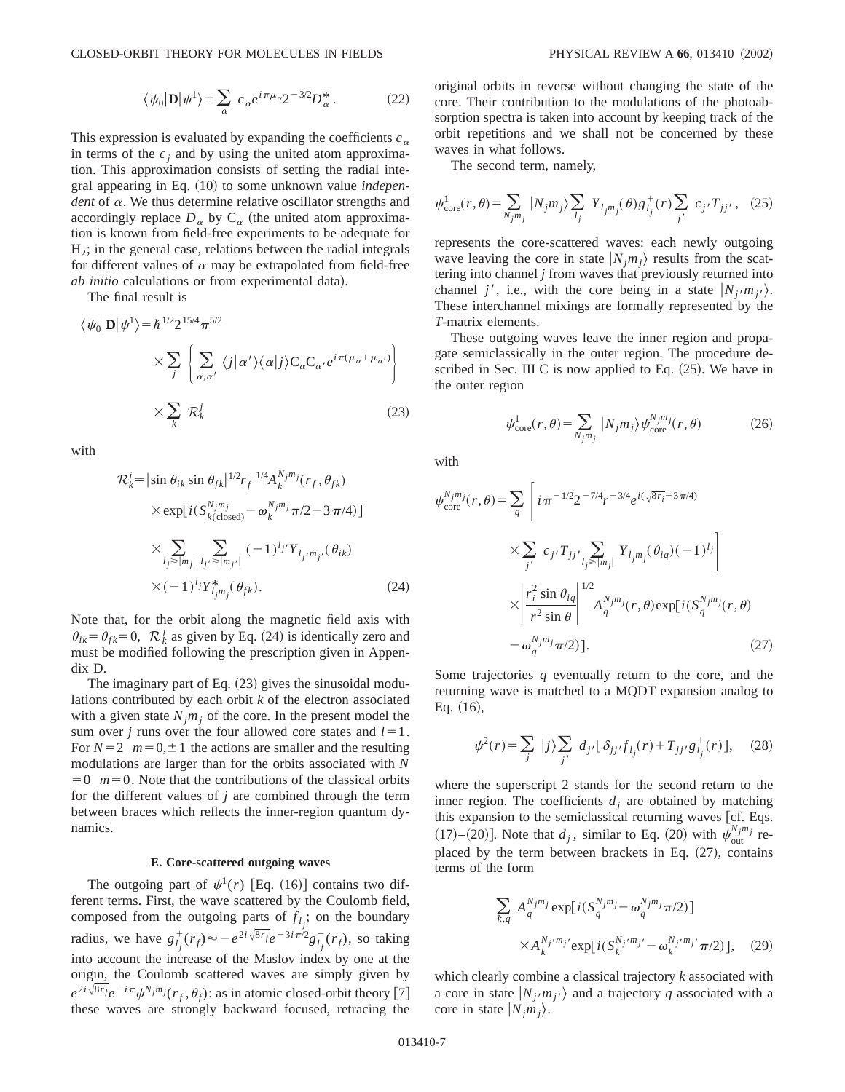$$
\langle \psi_0 | \mathbf{D} | \psi^1 \rangle = \sum_{\alpha} c_{\alpha} e^{i \pi \mu_{\alpha}} 2^{-3/2} D_{\alpha}^* \,. \tag{22}
$$

This expression is evaluated by expanding the coefficients *c*<sup>a</sup> in terms of the  $c_i$  and by using the united atom approximation. This approximation consists of setting the radial integral appearing in Eq. (10) to some unknown value *independent* of  $\alpha$ . We thus determine relative oscillator strengths and accordingly replace  $D_{\alpha}$  by  $C_{\alpha}$  (the united atom approximation is known from field-free experiments to be adequate for  $H<sub>2</sub>$ ; in the general case, relations between the radial integrals for different values of  $\alpha$  may be extrapolated from field-free *ab initio* calculations or from experimental data).

The final result is

$$
\langle \psi_0 | \mathbf{D} | \psi^1 \rangle = \hbar^{1/2} 2^{15/4} \pi^{5/2}
$$
  
 
$$
\times \sum_j \left\{ \sum_{\alpha, \alpha'} \langle j | \alpha' \rangle \langle \alpha | j \rangle C_{\alpha} C_{\alpha'} e^{i \pi (\mu_{\alpha} + \mu_{\alpha'})} \right\}
$$
  
 
$$
\times \sum_k \mathcal{R}_k^j
$$
 (23)

with

$$
\mathcal{R}_{k}^{j} = |\sin \theta_{ik} \sin \theta_{fk}|^{1/2} r_{f}^{-1/4} A_{k}^{N_{j}m_{j}}(r_{f}, \theta_{fk})
$$
  
\n
$$
\times \exp[i(S_{k(\text{closed})}^{N_{j}m_{j}} - \omega_{k}^{N_{j}m_{j}} \pi/2 - 3 \pi/4)]
$$
  
\n
$$
\times \sum_{l_{j} \ge |m_{j}|} \sum_{l_{j'} \ge |m_{j'}|} (-1)^{l_{j'}} Y_{l_{j'}m_{j'}}(\theta_{ik})
$$
  
\n
$$
\times (-1)^{l_{j}} Y_{l_{j}m_{j}}^{*}(\theta_{fk}).
$$
\n(24)

Note that, for the orbit along the magnetic field axis with  $\theta_{ik} = \theta_{fk} = 0$ ,  $\mathcal{R}_{k}^{j}$  as given by Eq. (24) is identically zero and must be modified following the prescription given in Appendix D.

The imaginary part of Eq.  $(23)$  gives the sinusoidal modulations contributed by each orbit *k* of the electron associated with a given state  $N_j m_j$  of the core. In the present model the sum over *j* runs over the four allowed core states and  $l=1$ . For  $N=2$   $m=0,\pm 1$  the actions are smaller and the resulting modulations are larger than for the orbits associated with *N*  $=0$  *m* $=0$ . Note that the contributions of the classical orbits for the different values of *j* are combined through the term between braces which reflects the inner-region quantum dynamics.

# **E. Core-scattered outgoing waves**

The outgoing part of  $\psi^1(r)$  [Eq. (16)] contains two different terms. First, the wave scattered by the Coulomb field, composed from the outgoing parts of  $f_{l_j}$ ; on the boundary radius, we have  $g_{i_j}^+(r_f) \approx -e^{2i\sqrt{8r_f}}e^{-3i\pi/2}g_{i_j}^-(r_f)$ , so taking into account the increase of the Maslov index by one at the origin, the Coulomb scattered waves are simply given by  $e^{2i\sqrt{8r_f}}e^{-i\pi}\psi^{N_j m_j}(r_f,\theta_f)$ : as in atomic closed-orbit theory [7] these waves are strongly backward focused, retracing the original orbits in reverse without changing the state of the core. Their contribution to the modulations of the photoabsorption spectra is taken into account by keeping track of the orbit repetitions and we shall not be concerned by these waves in what follows.

The second term, namely,

$$
\psi_{\text{core}}^1(r,\theta) = \sum_{N_j m_j} |N_j m_j\rangle \sum_{l_j} Y_{l_j m_j}(\theta) g_{l_j}^+(r) \sum_{j'} c_{j'} T_{jj'}, \quad (25)
$$

represents the core-scattered waves: each newly outgoing wave leaving the core in state  $|N_j m_j\rangle$  results from the scattering into channel *j* from waves that previously returned into channel *j'*, i.e., with the core being in a state  $|N_j/m_j\rangle$ . These interchannel mixings are formally represented by the *T*-matrix elements.

These outgoing waves leave the inner region and propagate semiclassically in the outer region. The procedure described in Sec. III C is now applied to Eq.  $(25)$ . We have in the outer region

$$
\psi_{\text{core}}^1(r,\theta) = \sum_{N_j m_j} |N_j m_j\rangle \psi_{\text{core}}^{N_j m_j}(r,\theta)
$$
 (26)

with

$$
\psi_{\text{core}}^{N_j m_j}(r,\theta) = \sum_{q} \left[ i \pi^{-1/2} 2^{-7/4} r^{-3/4} e^{i(\sqrt{8r_i} - 3\pi/4)} \times \sum_{j'} c_{j'} T_{jj'} \sum_{l_j \ge |m_j|} Y_{l_j m_j}(\theta_{iq}) (-1)^{l_j} \right] \times \left| \frac{r_i^2 \sin \theta_{iq}}{r^2 \sin \theta} \right|^{1/2} A_q^{N_j m_j}(r,\theta) \exp[i(S_q^{N_j m_j}(r,\theta) - \omega_q^{N_j m_j} \pi/2)]. \tag{27}
$$

Some trajectories *q* eventually return to the core, and the returning wave is matched to a MQDT expansion analog to Eq.  $(16)$ ,

$$
\psi^{2}(r) = \sum_{j} |j\rangle \sum_{j'} d_{j'} [\delta_{jj'} f_{l_{j}}(r) + T_{jj'} g_{l_{j}}^{+}(r)], \quad (28)
$$

where the superscript 2 stands for the second return to the inner region. The coefficients  $d_i$  are obtained by matching this expansion to the semiclassical returning waves [cf. Eqs.  $(17)$ – $(20)$ ]. Note that  $d_j$ , similar to Eq.  $(20)$  with  $\psi_{\text{out}}^{N_j m_j}$  replaced by the term between brackets in Eq.  $(27)$ , contains terms of the form

$$
\sum_{k,q} A_q^{N_j m_j} \exp[i(S_q^{N_j m_j} - \omega_q^{N_j m_j} \pi/2)]
$$
  
 
$$
\times A_k^{N_j m_j'} \exp[i(S_k^{N_j m_j'} - \omega_k^{N_j m_j'} \pi/2)], \quad (29)
$$

which clearly combine a classical trajectory *k* associated with a core in state  $|N_j/m_j\rangle$  and a trajectory *q* associated with a core in state  $|N_jm_j\rangle$ .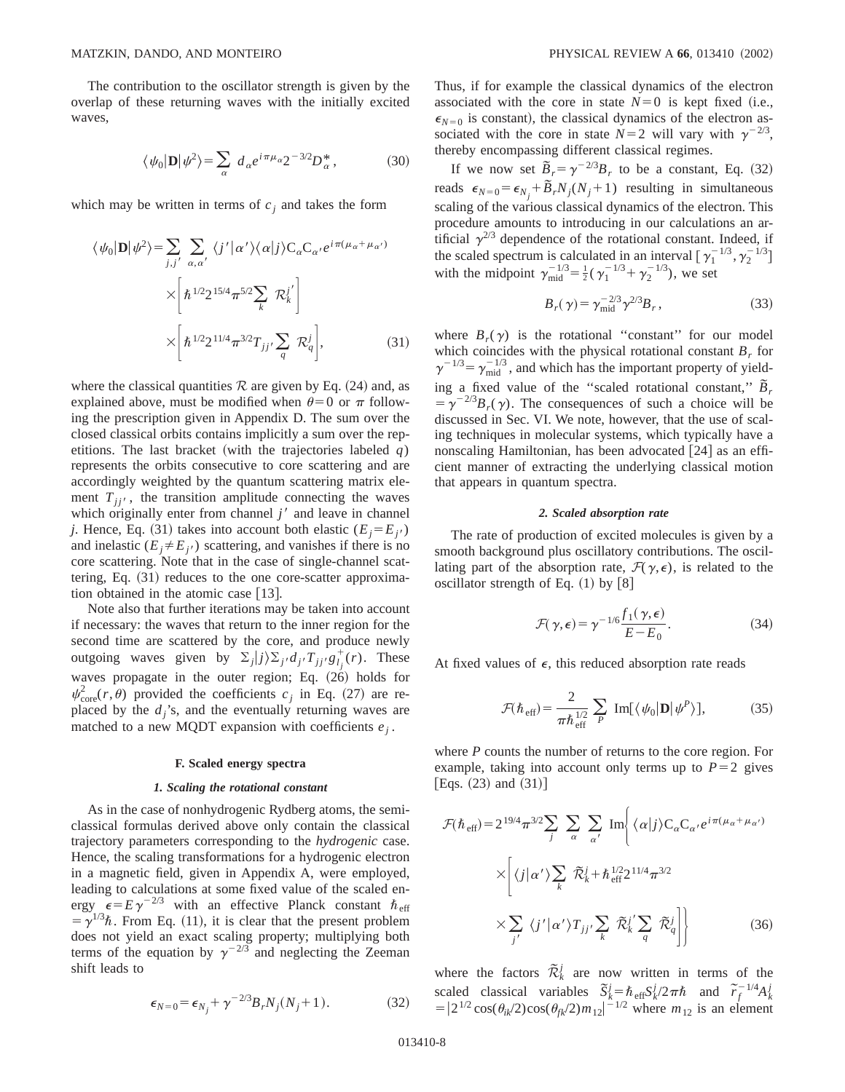The contribution to the oscillator strength is given by the overlap of these returning waves with the initially excited waves,

$$
\langle \psi_0 | \mathbf{D} | \psi^2 \rangle = \sum_{\alpha} d_{\alpha} e^{i \pi \mu_{\alpha}} 2^{-3/2} D_{\alpha}^*, \tag{30}
$$

which may be written in terms of  $c_j$  and takes the form

$$
\langle \psi_0 | \mathbf{D} | \psi^2 \rangle = \sum_{j,j'} \sum_{\alpha, \alpha'} \langle j' | \alpha' \rangle \langle \alpha | j \rangle C_{\alpha} C_{\alpha'} e^{i \pi (\mu_{\alpha} + \mu_{\alpha'})} \times \left[ \hbar^{1/2} 2^{15/4} \pi^{5/2} \sum_k \mathcal{R}_k^{j'} \right] \times \left[ \hbar^{1/2} 2^{11/4} \pi^{3/2} T_{jj'} \sum_q \mathcal{R}_q^j \right],
$$
(31)

where the classical quantities  $R$  are given by Eq. (24) and, as explained above, must be modified when  $\theta=0$  or  $\pi$  following the prescription given in Appendix D. The sum over the closed classical orbits contains implicitly a sum over the repetitions. The last bracket (with the trajectories labeled  $q$ ) represents the orbits consecutive to core scattering and are accordingly weighted by the quantum scattering matrix element  $T_{ji'}$ , the transition amplitude connecting the waves which originally enter from channel  $j'$  and leave in channel *j*. Hence, Eq. (31) takes into account both elastic  $(E_j = E_j \cdot)$ and inelastic  $(E_j \neq E_{j'})$  scattering, and vanishes if there is no core scattering. Note that in the case of single-channel scattering, Eq.  $(31)$  reduces to the one core-scatter approximation obtained in the atomic case  $[13]$ .

Note also that further iterations may be taken into account if necessary: the waves that return to the inner region for the second time are scattered by the core, and produce newly outgoing waves given by  $\Sigma_j |j\rangle \Sigma_{j'} d_{j'} T_{jj'} g_{l_j}^+(r)$ . These waves propagate in the outer region; Eq.  $(26)$  holds for  $\psi_{\text{core}}^2(r,\theta)$  provided the coefficients  $c_j$  in Eq. (27) are replaced by the *dj*'s, and the eventually returning waves are matched to a new MQDT expansion with coefficients  $e_j$ .

## **F. Scaled energy spectra**

#### *1. Scaling the rotational constant*

As in the case of nonhydrogenic Rydberg atoms, the semiclassical formulas derived above only contain the classical trajectory parameters corresponding to the *hydrogenic* case. Hence, the scaling transformations for a hydrogenic electron in a magnetic field, given in Appendix A, were employed, leading to calculations at some fixed value of the scaled energy  $\epsilon = E\gamma^{-2/3}$  with an effective Planck constant  $\hbar$ <sub>eff</sub>  $=\gamma^{1/3}\hbar$ . From Eq. (11), it is clear that the present problem does not yield an exact scaling property; multiplying both terms of the equation by  $\gamma^{-2/3}$  and neglecting the Zeeman shift leads to

Thus, if for example the classical dynamics of the electron associated with the core in state  $N=0$  is kept fixed (i.e.,  $\epsilon_{N=0}$  is constant), the classical dynamics of the electron associated with the core in state  $N=2$  will vary with  $\gamma^{-2/3}$ , thereby encompassing different classical regimes.

If we now set  $\overline{B}_r = \gamma^{-2/3} B_r$  to be a constant, Eq. (32) reads  $\epsilon_{N=0} = \epsilon_{N_j} + \tilde{B}_r N_j(N_j + 1)$  resulting in simultaneous scaling of the various classical dynamics of the electron. This procedure amounts to introducing in our calculations an artificial  $\gamma^{2/3}$  dependence of the rotational constant. Indeed, if the scaled spectrum is calculated in an interval  $[\gamma_1^{-1/3}, \gamma_2^{-1/3}]$ with the midpoint  $\gamma_{mid}^{-1/3} = \frac{1}{2}(\gamma_1^{-1/3} + \gamma_2^{-1/3})$ , we set

$$
B_r(\gamma) = \gamma_{\text{mid}}^{-2/3} \gamma^{2/3} B_r, \qquad (33)
$$

where  $B_r(\gamma)$  is the rotational "constant" for our model which coincides with the physical rotational constant  $B_r$  for  $\gamma^{-1/3} = \gamma_{\text{mid}}^{-1/3}$ , and which has the important property of yielding a fixed value of the "scaled rotational constant,"  $\tilde{B}_r$  $= \gamma^{-2/3} B_r(\gamma)$ . The consequences of such a choice will be discussed in Sec. VI. We note, however, that the use of scaling techniques in molecular systems, which typically have a nonscaling Hamiltonian, has been advocated  $[24]$  as an efficient manner of extracting the underlying classical motion that appears in quantum spectra.

## *2. Scaled absorption rate*

The rate of production of excited molecules is given by a smooth background plus oscillatory contributions. The oscillating part of the absorption rate,  $\mathcal{F}(\gamma,\epsilon)$ , is related to the oscillator strength of Eq.  $(1)$  by  $[8]$ 

$$
\mathcal{F}(\gamma, \epsilon) = \gamma^{-1/6} \frac{f_1(\gamma, \epsilon)}{E - E_0}.
$$
 (34)

At fixed values of  $\epsilon$ , this reduced absorption rate reads

$$
\mathcal{F}(\hbar_{\text{eff}}) = \frac{2}{\pi \hbar_{\text{eff}}^{1/2}} \sum_{P} \text{Im}[\langle \psi_0 | \mathbf{D} | \psi^P \rangle],\tag{35}
$$

where *P* counts the number of returns to the core region. For example, taking into account only terms up to  $P=2$  gives [Eqs.  $(23)$  and  $(31)$ ]

$$
\mathcal{F}(\hbar_{\text{eff}}) = 2^{19/4} \pi^{3/2} \sum_{j} \sum_{\alpha} \sum_{\alpha'} \text{Im} \left\{ \langle \alpha | j \rangle C_{\alpha} C_{\alpha'} e^{i \pi (\mu_{\alpha} + \mu_{\alpha'})} \right\}
$$

$$
\times \left[ \langle j | \alpha' \rangle \sum_{k} \tilde{\mathcal{R}}_{k}^{j} + \hbar_{\text{eff}}^{1/2} 2^{11/4} \pi^{3/2} \right]
$$

$$
\times \sum_{j'} \langle j' | \alpha' \rangle T_{jj'} \sum_{k} \tilde{\mathcal{R}}_{k}^{j'} \sum_{q} \tilde{\mathcal{R}}_{q}^{j} \right]
$$
(36)

where the factors  $\tilde{\mathcal{R}}_k^j$  are now written in terms of the scaled classical variables  $\tilde{S}_k^j = \hbar \frac{\epsilon}{\epsilon} S_k^j / 2\pi \hbar$  and  $\tilde{r}_f^{-1/4} A_k^j$  $= |2^{1/2} \cos(\theta_{ik}/2) \cos(\theta_{jk}/2) m_{12}|^{-1/2}$  where  $m_{12}$  is an element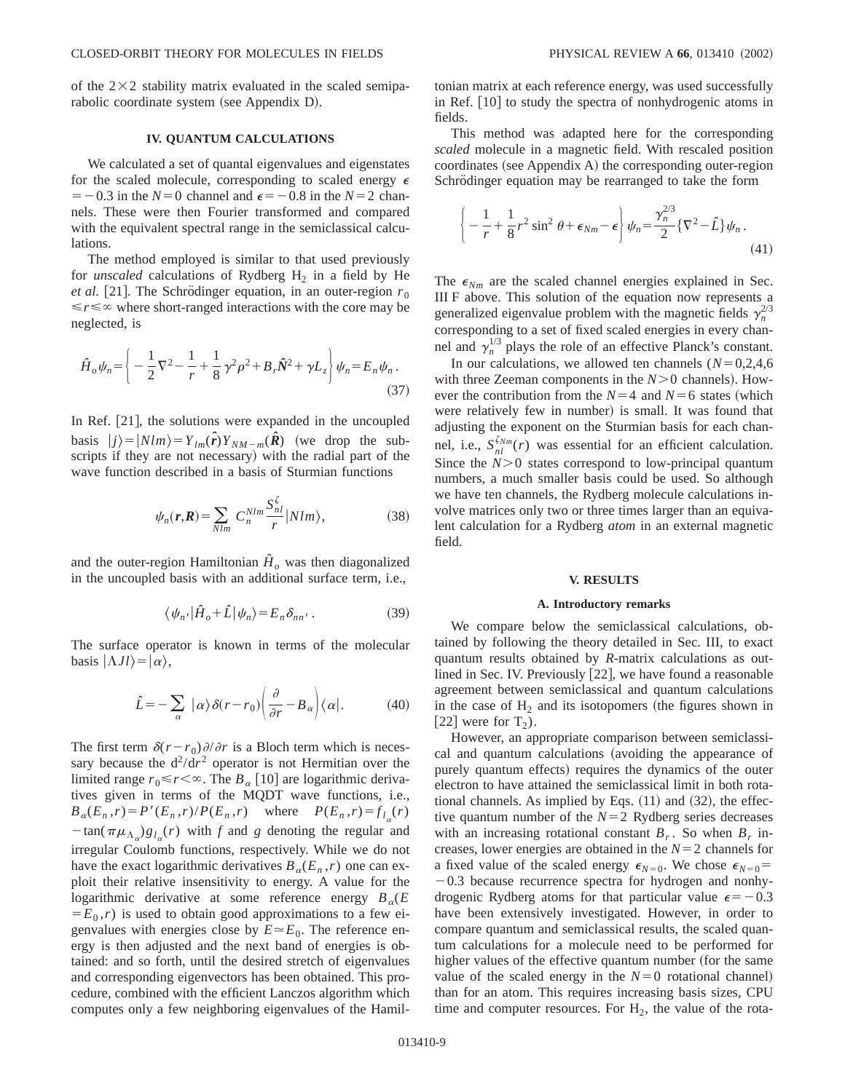of the  $2\times2$  stability matrix evaluated in the scaled semiparabolic coordinate system (see Appendix D).

# **IV. QUANTUM CALCULATIONS**

We calculated a set of quantal eigenvalues and eigenstates for the scaled molecule, corresponding to scaled energy  $\epsilon$  $=$  -0.3 in the *N*=0 channel and  $\epsilon$  = -0.8 in the *N*=2 channels. These were then Fourier transformed and compared with the equivalent spectral range in the semiclassical calculations.

The method employed is similar to that used previously for *unscaled* calculations of Rydberg  $H_2$  in a field by He *et al.* [21]. The Schrödinger equation, in an outer-region  $r_0$  $\leq r \leq \infty$  where short-ranged interactions with the core may be neglected, is

$$
\hat{H}_o \psi_n = \left\{ -\frac{1}{2} \nabla^2 - \frac{1}{r} + \frac{1}{8} \gamma^2 \rho^2 + B_r \hat{N}^2 + \gamma L_z \right\} \psi_n = E_n \psi_n.
$$
\n(37)

In Ref.  $[21]$ , the solutions were expanded in the uncoupled basis  $|j\rangle = |Nlm\rangle = Y_{lm}(\hat{r})Y_{NM-m}(\hat{R})$  (we drop the subscripts if they are not necessary) with the radial part of the wave function described in a basis of Sturmian functions

$$
\psi_n(\mathbf{r}, \mathbf{R}) = \sum_{Nlm} C_n^{Nlm} \frac{S_n^{\zeta}}{r} |Nlm\rangle, \tag{38}
$$

and the outer-region Hamiltonian  $\hat{H}_o$  was then diagonalized in the uncoupled basis with an additional surface term, i.e.,

$$
\langle \psi_{n'} | \hat{H}_o + \hat{L} | \psi_n \rangle = E_n \delta_{nn'}.
$$
 (39)

The surface operator is known in terms of the molecular basis  $|\Lambda Jl\rangle = |\alpha\rangle$ ,

$$
\hat{L} = -\sum_{\alpha} |\alpha\rangle \delta(r - r_0) \left( \frac{\partial}{\partial r} - B_{\alpha} \right) \langle \alpha |. \tag{40}
$$

The first term  $\delta(r-r_0)\partial/\partial r$  is a Bloch term which is necessary because the  $d^2/dr^2$  operator is not Hermitian over the limited range  $r_0 \le r < \infty$ . The  $B_\alpha$  [10] are logarithmic derivatives given in terms of the MQDT wave functions, i.e.,  $B_{\alpha}(E_n, r) = P'(E_n, r) / P(E_n, r)$  where  $P(E_n, r) = f_{l_{\alpha}}(r)$  $-\tan(\pi \mu_{\Lambda_Q}) g_l(r)$  with *f* and *g* denoting the regular and irregular Coulomb functions, respectively. While we do not have the exact logarithmic derivatives  $B_{\alpha}(E_n, r)$  one can exploit their relative insensitivity to energy. A value for the logarithmic derivative at some reference energy  $B_{\alpha}(E)$  $E_0$ ,*r*) is used to obtain good approximations to a few eigenvalues with energies close by  $E \approx E_0$ . The reference energy is then adjusted and the next band of energies is obtained: and so forth, until the desired stretch of eigenvalues and corresponding eigenvectors has been obtained. This procedure, combined with the efficient Lanczos algorithm which computes only a few neighboring eigenvalues of the Hamiltonian matrix at each reference energy, was used successfully in Ref.  $[10]$  to study the spectra of nonhydrogenic atoms in fields.

This method was adapted here for the corresponding *scaled* molecule in a magnetic field. With rescaled position  $coordinates (see Appendix A)$  the corresponding outer-region Schrödinger equation may be rearranged to take the form

$$
\left\{-\frac{1}{r} + \frac{1}{8}r^2\sin^2\theta + \epsilon_{Nm} - \epsilon\right\}\psi_n = \frac{\gamma_n^{2/3}}{2}\{\nabla^2 - \hat{L}\}\psi_n. \tag{41}
$$

The  $\epsilon_{Nm}$  are the scaled channel energies explained in Sec. III F above. This solution of the equation now represents a generalized eigenvalue problem with the magnetic fields  $\gamma_n^{2/3}$ corresponding to a set of fixed scaled energies in every channel and  $\gamma_n^{1/3}$  plays the role of an effective Planck's constant.

In our calculations, we allowed ten channels  $(N=0,2,4,6)$ with three Zeeman components in the  $N>0$  channels). However the contribution from the  $N=4$  and  $N=6$  states (which were relatively few in number) is small. It was found that adjusting the exponent on the Sturmian basis for each channel, i.e.,  $S_{nl}^{\zeta_{Nm}}(r)$  was essential for an efficient calculation. Since the  $N>0$  states correspond to low-principal quantum numbers, a much smaller basis could be used. So although we have ten channels, the Rydberg molecule calculations involve matrices only two or three times larger than an equivalent calculation for a Rydberg *atom* in an external magnetic field.

#### **V. RESULTS**

#### **A. Introductory remarks**

We compare below the semiclassical calculations, obtained by following the theory detailed in Sec. III, to exact quantum results obtained by *R*-matrix calculations as outlined in Sec. IV. Previously  $[22]$ , we have found a reasonable agreement between semiclassical and quantum calculations in the case of  $H_2$  and its isotopomers (the figures shown in  $|22|$  were for  $T_2$ ).

However, an appropriate comparison between semiclassical and quantum calculations (avoiding the appearance of purely quantum effects) requires the dynamics of the outer electron to have attained the semiclassical limit in both rotational channels. As implied by Eqs.  $(11)$  and  $(32)$ , the effective quantum number of the  $N=2$  Rydberg series decreases with an increasing rotational constant  $B_r$ . So when  $B_r$  increases, lower energies are obtained in the  $N=2$  channels for a fixed value of the scaled energy  $\epsilon_{N=0}$ . We chose  $\epsilon_{N=0}$  $-0.3$  because recurrence spectra for hydrogen and nonhydrogenic Rydberg atoms for that particular value  $\epsilon = -0.3$ have been extensively investigated. However, in order to compare quantum and semiclassical results, the scaled quantum calculations for a molecule need to be performed for higher values of the effective quantum number (for the same value of the scaled energy in the  $N=0$  rotational channel) than for an atom. This requires increasing basis sizes, CPU time and computer resources. For  $H_2$ , the value of the rota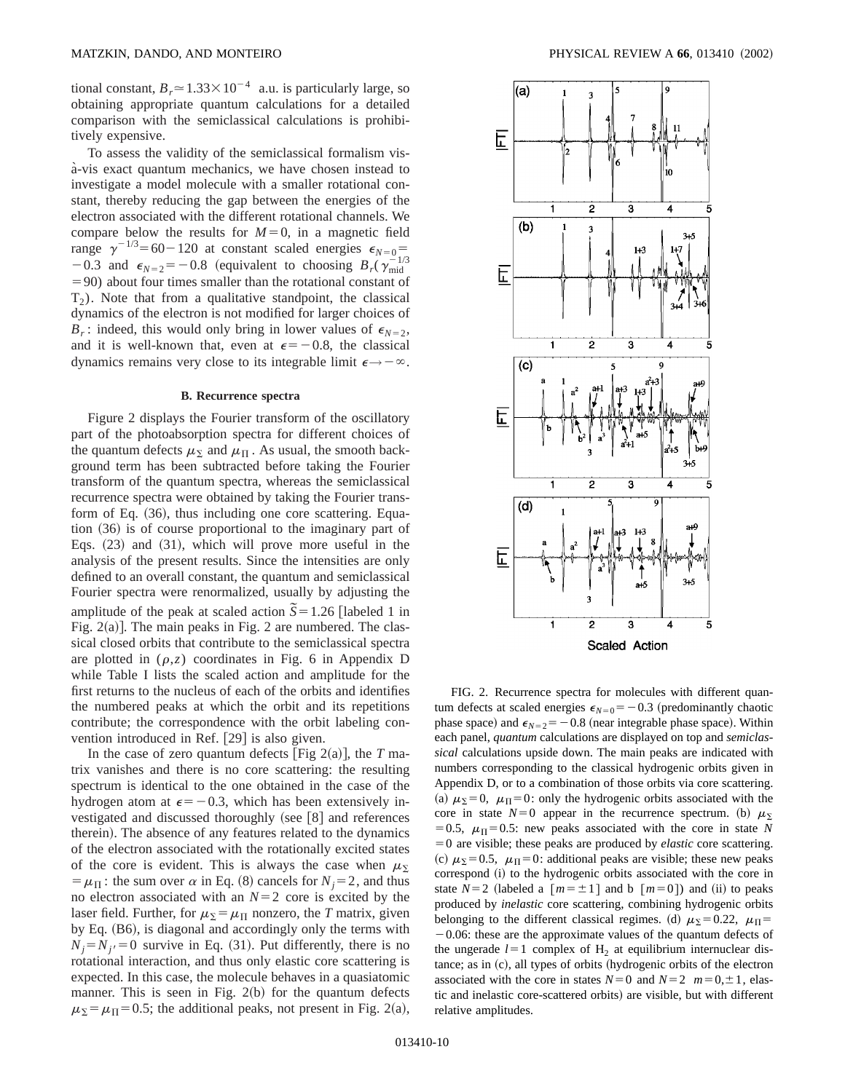tional constant,  $B_r \approx 1.33 \times 10^{-4}$  a.u. is particularly large, so obtaining appropriate quantum calculations for a detailed comparison with the semiclassical calculations is prohibitively expensive.

To assess the validity of the semiclassical formalism visa`-vis exact quantum mechanics, we have chosen instead to investigate a model molecule with a smaller rotational constant, thereby reducing the gap between the energies of the electron associated with the different rotational channels. We compare below the results for  $M=0$ , in a magnetic field range  $\gamma^{-1/3}$ =60-120 at constant scaled energies  $\epsilon_{N=0}$ =  $-0.3$  and  $\epsilon_{N=2} = -0.8$  (equivalent to choosing  $B_r(\gamma_{\text{mid}}^{-1/3})$  $=90$ ) about four times smaller than the rotational constant of  $T<sub>2</sub>$ ). Note that from a qualitative standpoint, the classical dynamics of the electron is not modified for larger choices of  $B_r$ : indeed, this would only bring in lower values of  $\epsilon_{N=2}$ , and it is well-known that, even at  $\epsilon=-0.8$ , the classical dynamics remains very close to its integrable limit  $\epsilon \rightarrow -\infty$ .

## **B. Recurrence spectra**

Figure 2 displays the Fourier transform of the oscillatory part of the photoabsorption spectra for different choices of the quantum defects  $\mu_{\Sigma}$  and  $\mu_{\Pi}$ . As usual, the smooth background term has been subtracted before taking the Fourier transform of the quantum spectra, whereas the semiclassical recurrence spectra were obtained by taking the Fourier transform of Eq.  $(36)$ , thus including one core scattering. Equation  $(36)$  is of course proportional to the imaginary part of Eqs.  $(23)$  and  $(31)$ , which will prove more useful in the analysis of the present results. Since the intensities are only defined to an overall constant, the quantum and semiclassical Fourier spectra were renormalized, usually by adjusting the amplitude of the peak at scaled action  $\overline{S} = 1.26$  [labeled 1 in Fig.  $2(a)$ ]. The main peaks in Fig. 2 are numbered. The classical closed orbits that contribute to the semiclassical spectra are plotted in  $(\rho, z)$  coordinates in Fig. 6 in Appendix D while Table I lists the scaled action and amplitude for the first returns to the nucleus of each of the orbits and identifies the numbered peaks at which the orbit and its repetitions contribute; the correspondence with the orbit labeling convention introduced in Ref.  $[29]$  is also given.

In the case of zero quantum defects [Fig 2(a)], the *T* matrix vanishes and there is no core scattering: the resulting spectrum is identical to the one obtained in the case of the hydrogen atom at  $\epsilon=-0.3$ , which has been extensively investigated and discussed thoroughly (see  $[8]$  and references therein). The absence of any features related to the dynamics of the electron associated with the rotationally excited states of the core is evident. This is always the case when  $\mu_{\Sigma}$  $= \mu_{\Pi}$ : the sum over  $\alpha$  in Eq. (8) cancels for  $N_i = 2$ , and thus no electron associated with an  $N=2$  core is excited by the laser field. Further, for  $\mu_{\Sigma} = \mu_{\Pi}$  nonzero, the *T* matrix, given by Eq.  $(B6)$ , is diagonal and accordingly only the terms with  $N_j = N_{j'} = 0$  survive in Eq. (31). Put differently, there is no rotational interaction, and thus only elastic core scattering is expected. In this case, the molecule behaves in a quasiatomic manner. This is seen in Fig.  $2(b)$  for the quantum defects  $\mu_{\Sigma} = \mu_{\Pi} = 0.5$ ; the additional peaks, not present in Fig. 2(a),



FIG. 2. Recurrence spectra for molecules with different quantum defects at scaled energies  $\epsilon_{N=0} = -0.3$  (predominantly chaotic phase space) and  $\epsilon_{N=2}$ = -0.8 (near integrable phase space). Within each panel, *quantum* calculations are displayed on top and *semiclassical* calculations upside down. The main peaks are indicated with numbers corresponding to the classical hydrogenic orbits given in Appendix D, or to a combination of those orbits via core scattering. (a)  $\mu_{\Sigma} = 0$ ,  $\mu_{\Pi} = 0$ : only the hydrogenic orbits associated with the core in state  $N=0$  appear in the recurrence spectrum. (b)  $\mu_{\Sigma}$  $=0.5$ ,  $\mu$ <sub>II</sub> $=0.5$ : new peaks associated with the core in state *N*  $=0$  are visible; these peaks are produced by *elastic* core scattering. (c)  $\mu_{\rm S}$  = 0.5,  $\mu_{\rm H}$  = 0: additional peaks are visible; these new peaks correspond (i) to the hydrogenic orbits associated with the core in state  $N=2$  (labeled a  $[m=\pm 1]$  and b  $[m=0]$ ) and (ii) to peaks produced by *inelastic* core scattering, combining hydrogenic orbits belonging to the different classical regimes. (d)  $\mu_{\rm S} = 0.22, \mu_{\rm H} =$  $-0.06$ : these are the approximate values of the quantum defects of the ungerade  $l=1$  complex of  $H_2$  at equilibrium internuclear dis $t$ ance; as in  $(c)$ , all types of orbits  $(hydrogenic)$  orbits of the electron associated with the core in states  $N=0$  and  $N=2$   $m=0,\pm 1$ , elastic and inelastic core-scattered orbits) are visible, but with different relative amplitudes.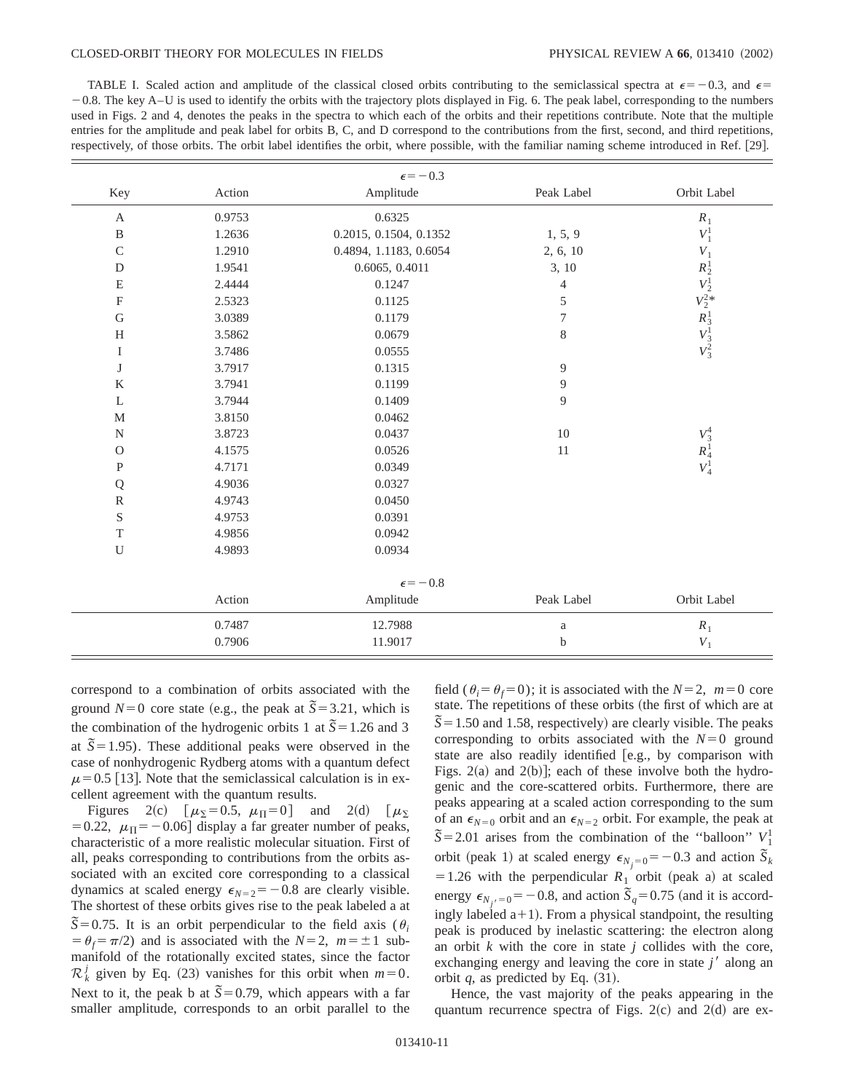TABLE I. Scaled action and amplitude of the classical closed orbits contributing to the semiclassical spectra at  $\epsilon=-0.3$ , and  $\epsilon$  $-0.8$ . The key A–U is used to identify the orbits with the trajectory plots displayed in Fig. 6. The peak label, corresponding to the numbers used in Figs. 2 and 4, denotes the peaks in the spectra to which each of the orbits and their repetitions contribute. Note that the multiple entries for the amplitude and peak label for orbits B, C, and D correspond to the contributions from the first, second, and third repetitions, respectively, of those orbits. The orbit label identifies the orbit, where possible, with the familiar naming scheme introduced in Ref. [29].

|                  |        | $\epsilon = -0.3$      |                  |                                                                                     |
|------------------|--------|------------------------|------------------|-------------------------------------------------------------------------------------|
| Key              | Action | Amplitude              | Peak Label       | Orbit Label                                                                         |
| $\boldsymbol{A}$ | 0.9753 | 0.6325                 |                  | $\boldsymbol{R}_1$                                                                  |
| $\, {\bf B}$     | 1.2636 | 0.2015, 0.1504, 0.1352 | 1, 5, 9          | $\boldsymbol{V}^1_1$                                                                |
| $\mathsf C$      | 1.2910 | 0.4894, 1.1183, 0.6054 | 2, 6, 10         | $\boldsymbol{V}_1$                                                                  |
| ${\mathcal{D}}$  | 1.9541 | 0.6065, 0.4011         | 3, 10            |                                                                                     |
| $\mathbf E$      | 2.4444 | 0.1247                 | $\overline{4}$   |                                                                                     |
| $\mathbf F$      | 2.5323 | 0.1125                 | 5                |                                                                                     |
| ${\bf G}$        | 3.0389 | 0.1179                 | $\boldsymbol{7}$ | $\begin{array}{c} R^1_2 \\ V^1_2 \\ V^2_2^* \\ R^1_3 \\ V^1_3 \\ V^2_3 \end{array}$ |
| $\,$ H           | 3.5862 | 0.0679                 | $8\,$            |                                                                                     |
| $\bf{I}$         | 3.7486 | 0.0555                 |                  |                                                                                     |
| $_{\rm J}$       | 3.7917 | 0.1315                 | $\overline{9}$   |                                                                                     |
| $\rm K$          | 3.7941 | 0.1199                 | $\overline{9}$   |                                                                                     |
| L                | 3.7944 | 0.1409                 | $\overline{9}$   |                                                                                     |
| $\mathbf M$      | 3.8150 | 0.0462                 |                  |                                                                                     |
| ${\bf N}$        | 3.8723 | 0.0437                 | 10               | $\begin{array}{c} V_3^4 \\ R_4^1 \\ V_4^1 \end{array}$                              |
| $\mathbf{O}$     | 4.1575 | 0.0526                 | 11               |                                                                                     |
| ${\bf P}$        | 4.7171 | 0.0349                 |                  |                                                                                     |
| ${\bf Q}$        | 4.9036 | 0.0327                 |                  |                                                                                     |
| ${\mathbb R}$    | 4.9743 | 0.0450                 |                  |                                                                                     |
| $\mathbf S$      | 4.9753 | 0.0391                 |                  |                                                                                     |
| $\rm T$          | 4.9856 | 0.0942                 |                  |                                                                                     |
| ${\bf U}$        | 4.9893 | 0.0934                 |                  |                                                                                     |
|                  |        | $\epsilon = -0.8$      |                  |                                                                                     |
|                  | Action | Amplitude              | Peak Label       | Orbit Label                                                                         |
|                  | 0.7487 | 12.7988                | $\rm{a}$         | $\boldsymbol{R}_1$                                                                  |
|                  | 0.7906 | 11.9017                | b                | $\boldsymbol{V}_1$                                                                  |

correspond to a combination of orbits associated with the ground  $N=0$  core state (e.g., the peak at  $\tilde{S} = 3.21$ , which is the combination of the hydrogenic orbits 1 at  $\tilde{S} = 1.26$  and 3 at  $\tilde{S} = 1.95$ ). These additional peaks were observed in the case of nonhydrogenic Rydberg atoms with a quantum defect  $\mu$ =0.5 [13]. Note that the semiclassical calculation is in excellent agreement with the quantum results.

Figures 2(c)  $\left[\mu_{\Sigma} = 0.5, \mu_{\Pi} = 0\right]$  and 2(d)  $\left[\mu_{\Sigma}\right]$ = 0.22,  $\mu$ <sub>II</sub> = -0.06] display a far greater number of peaks, characteristic of a more realistic molecular situation. First of all, peaks corresponding to contributions from the orbits associated with an excited core corresponding to a classical dynamics at scaled energy  $\epsilon_{N=2} = -0.8$  are clearly visible. The shortest of these orbits gives rise to the peak labeled a at  $\overline{S}$ =0.75. It is an orbit perpendicular to the field axis ( $\theta_i$  $= \theta_f = \pi/2$ ) and is associated with the *N*=2, *m*= $\pm$ 1 submanifold of the rotationally excited states, since the factor  $\mathcal{R}_k^j$  given by Eq. (23) vanishes for this orbit when  $m=0$ . Next to it, the peak b at  $\overline{S}$  = 0.79, which appears with a far smaller amplitude, corresponds to an orbit parallel to the field ( $\theta_i = \theta_f = 0$ ); it is associated with the *N*=2, *m*=0 core state. The repetitions of these orbits (the first of which are at  $\overline{S} = 1.50$  and 1.58, respectively) are clearly visible. The peaks corresponding to orbits associated with the  $N=0$  ground state are also readily identified [e.g., by comparison with Figs.  $2(a)$  and  $2(b)$ ; each of these involve both the hydrogenic and the core-scattered orbits. Furthermore, there are peaks appearing at a scaled action corresponding to the sum of an  $\epsilon_{N=0}$  orbit and an  $\epsilon_{N=2}$  orbit. For example, the peak at  $\overline{S} = 2.01$  arises from the combination of the "balloon"  $V_1^1$ orbit (peak 1) at scaled energy  $\epsilon_{N_j=0} = -0.3$  and action  $\overline{S}_k$ = 1.26 with the perpendicular  $R_1$  orbit (peak a) at scaled energy  $\epsilon_{N_j/0} = 0.8$ , and action  $\overline{S}_q = 0.75$  (and it is accordingly labeled  $a+1$ ). From a physical standpoint, the resulting peak is produced by inelastic scattering: the electron along an orbit *k* with the core in state *j* collides with the core, exchanging energy and leaving the core in state  $j'$  along an orbit  $q$ , as predicted by Eq.  $(31)$ .

Hence, the vast majority of the peaks appearing in the quantum recurrence spectra of Figs.  $2(c)$  and  $2(d)$  are ex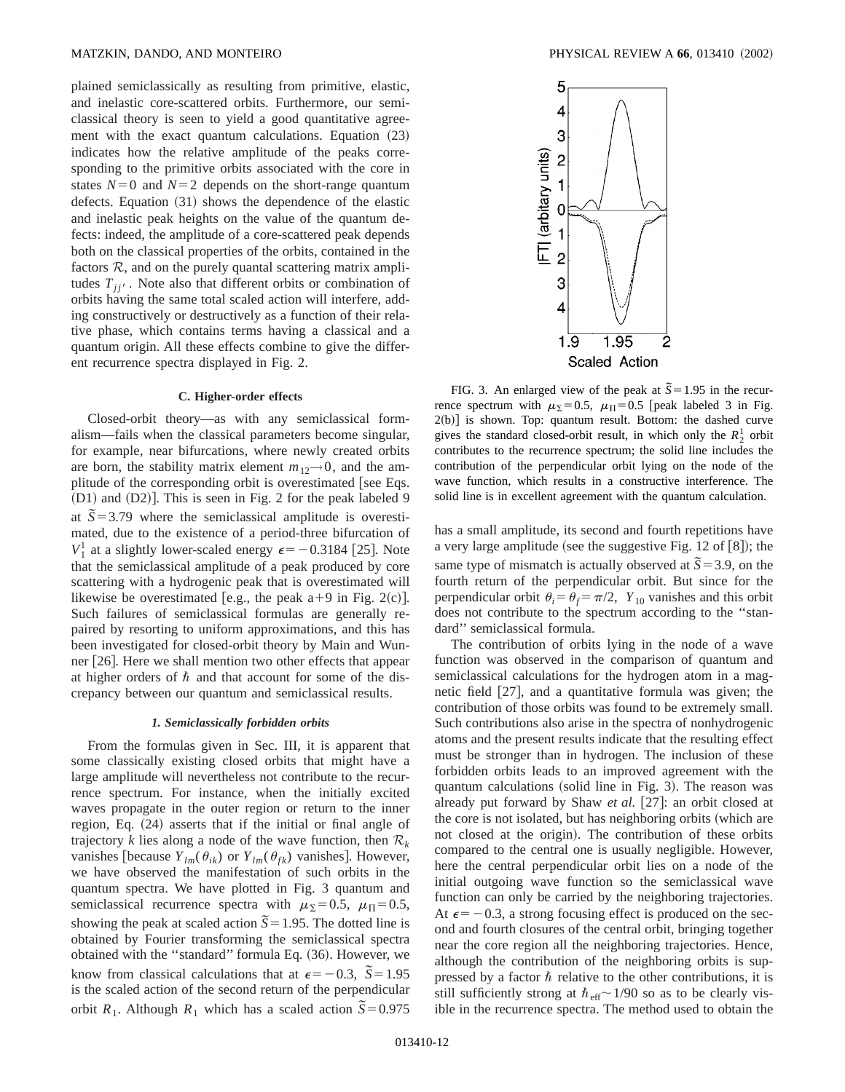plained semiclassically as resulting from primitive, elastic, and inelastic core-scattered orbits. Furthermore, our semiclassical theory is seen to yield a good quantitative agreement with the exact quantum calculations. Equation  $(23)$ indicates how the relative amplitude of the peaks corresponding to the primitive orbits associated with the core in states  $N=0$  and  $N=2$  depends on the short-range quantum defects. Equation  $(31)$  shows the dependence of the elastic and inelastic peak heights on the value of the quantum defects: indeed, the amplitude of a core-scattered peak depends both on the classical properties of the orbits, contained in the factors  $R$ , and on the purely quantal scattering matrix amplitudes  $T_{ji'}$ . Note also that different orbits or combination of orbits having the same total scaled action will interfere, adding constructively or destructively as a function of their relative phase, which contains terms having a classical and a quantum origin. All these effects combine to give the different recurrence spectra displayed in Fig. 2.

## **C. Higher-order effects**

Closed-orbit theory—as with any semiclassical formalism—fails when the classical parameters become singular, for example, near bifurcations, where newly created orbits are born, the stability matrix element  $m_{12} \rightarrow 0$ , and the amplitude of the corresponding orbit is overestimated [see Eqs.  $(D1)$  and  $(D2)$ ]. This is seen in Fig. 2 for the peak labeled 9 at  $\overline{S}$ =3.79 where the semiclassical amplitude is overestimated, due to the existence of a period-three bifurcation of  $V_1^1$  at a slightly lower-scaled energy  $\epsilon = -0.3184$  [25]. Note that the semiclassical amplitude of a peak produced by core scattering with a hydrogenic peak that is overestimated will likewise be overestimated [e.g., the peak  $a+9$  in Fig. 2(c)]. Such failures of semiclassical formulas are generally repaired by resorting to uniform approximations, and this has been investigated for closed-orbit theory by Main and Wunner  $[26]$ . Here we shall mention two other effects that appear at higher orders of  $\hbar$  and that account for some of the discrepancy between our quantum and semiclassical results.

## *1. Semiclassically forbidden orbits*

From the formulas given in Sec. III, it is apparent that some classically existing closed orbits that might have a large amplitude will nevertheless not contribute to the recurrence spectrum. For instance, when the initially excited waves propagate in the outer region or return to the inner region, Eq.  $(24)$  asserts that if the initial or final angle of trajectory *k* lies along a node of the wave function, then  $\mathcal{R}_k$ vanishes [because  $Y_{lm}(\theta_{ik})$  or  $Y_{lm}(\theta_{fk})$  vanishes]. However, we have observed the manifestation of such orbits in the quantum spectra. We have plotted in Fig. 3 quantum and semiclassical recurrence spectra with  $\mu_{\Sigma} = 0.5$ ,  $\mu_{\Pi} = 0.5$ , showing the peak at scaled action  $\overline{S}$  = 1.95. The dotted line is obtained by Fourier transforming the semiclassical spectra obtained with the "standard" formula Eq. (36). However, we know from classical calculations that at  $\epsilon = -0.3$ ,  $\tilde{S} = 1.95$ is the scaled action of the second return of the perpendicular orbit  $R_1$ . Although  $R_1$  which has a scaled action  $\tilde{S} = 0.975$ 



FIG. 3. An enlarged view of the peak at  $\tilde{S} = 1.95$  in the recurrence spectrum with  $\mu_{\Sigma} = 0.5$ ,  $\mu_{\Pi} = 0.5$  [peak labeled 3 in Fig.  $2(b)$ ] is shown. Top: quantum result. Bottom: the dashed curve gives the standard closed-orbit result, in which only the  $R_2^1$  orbit contributes to the recurrence spectrum; the solid line includes the contribution of the perpendicular orbit lying on the node of the wave function, which results in a constructive interference. The solid line is in excellent agreement with the quantum calculation.

has a small amplitude, its second and fourth repetitions have a very large amplitude (see the suggestive Fig. 12 of  $[8]$ ); the same type of mismatch is actually observed at  $\tilde{S}$ =3.9, on the fourth return of the perpendicular orbit. But since for the perpendicular orbit  $\theta_i = \theta_f = \pi/2$ ,  $Y_{10}$  vanishes and this orbit does not contribute to the spectrum according to the ''standard'' semiclassical formula.

The contribution of orbits lying in the node of a wave function was observed in the comparison of quantum and semiclassical calculations for the hydrogen atom in a magnetic field  $[27]$ , and a quantitative formula was given; the contribution of those orbits was found to be extremely small. Such contributions also arise in the spectra of nonhydrogenic atoms and the present results indicate that the resulting effect must be stronger than in hydrogen. The inclusion of these forbidden orbits leads to an improved agreement with the quantum calculations (solid line in Fig. 3). The reason was already put forward by Shaw *et al.* [27]: an orbit closed at the core is not isolated, but has neighboring orbits (which are not closed at the origin). The contribution of these orbits compared to the central one is usually negligible. However, here the central perpendicular orbit lies on a node of the initial outgoing wave function so the semiclassical wave function can only be carried by the neighboring trajectories. At  $\epsilon = -0.3$ , a strong focusing effect is produced on the second and fourth closures of the central orbit, bringing together near the core region all the neighboring trajectories. Hence, although the contribution of the neighboring orbits is suppressed by a factor  $\hbar$  relative to the other contributions, it is still sufficiently strong at  $\hbar_{\text{eff}}$  1/90 so as to be clearly visible in the recurrence spectra. The method used to obtain the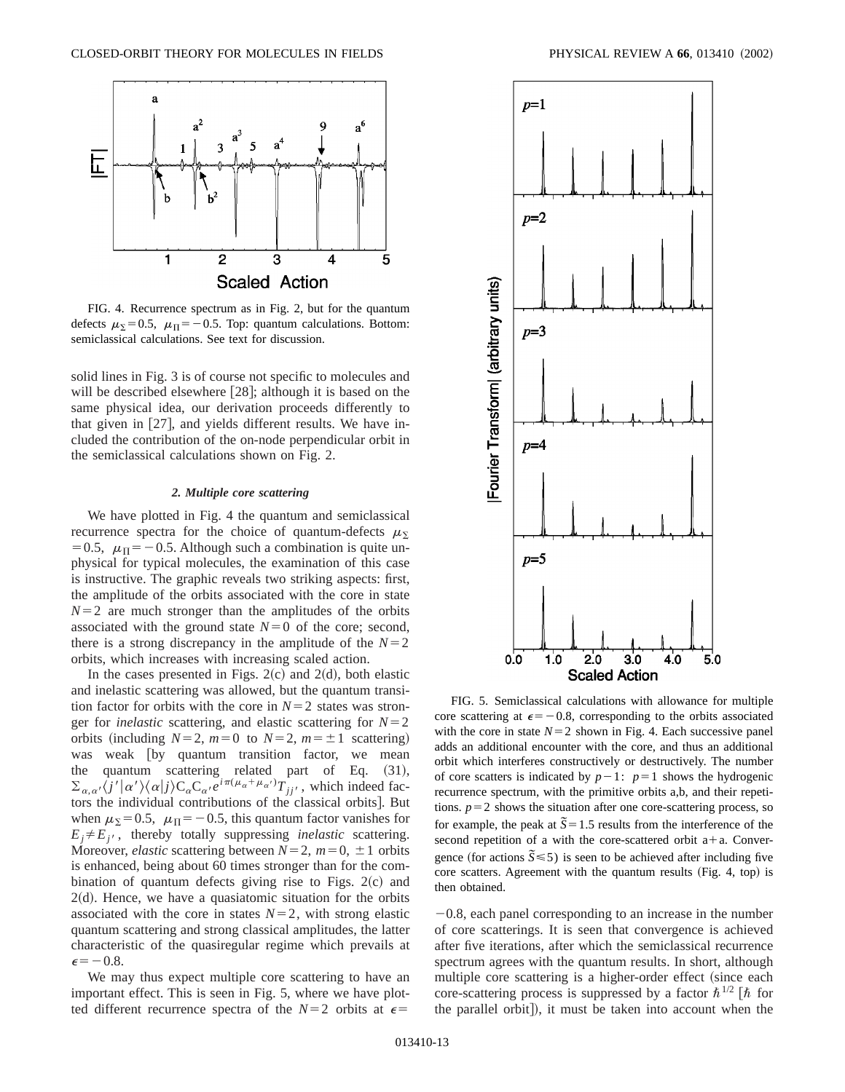

FIG. 4. Recurrence spectrum as in Fig. 2, but for the quantum defects  $\mu_{\Sigma} = 0.5$ ,  $\mu_{\Pi} = -0.5$ . Top: quantum calculations. Bottom: semiclassical calculations. See text for discussion.

solid lines in Fig. 3 is of course not specific to molecules and will be described elsewhere  $[28]$ ; although it is based on the same physical idea, our derivation proceeds differently to that given in  $[27]$ , and yields different results. We have included the contribution of the on-node perpendicular orbit in the semiclassical calculations shown on Fig. 2.

## *2. Multiple core scattering*

We have plotted in Fig. 4 the quantum and semiclassical recurrence spectra for the choice of quantum-defects  $\mu_{\Sigma}$  $=0.5$ ,  $\mu_{\Pi}$  = -0.5. Although such a combination is quite unphysical for typical molecules, the examination of this case is instructive. The graphic reveals two striking aspects: first, the amplitude of the orbits associated with the core in state  $N=2$  are much stronger than the amplitudes of the orbits associated with the ground state  $N=0$  of the core; second, there is a strong discrepancy in the amplitude of the  $N=2$ orbits, which increases with increasing scaled action.

In the cases presented in Figs.  $2(c)$  and  $2(d)$ , both elastic and inelastic scattering was allowed, but the quantum transition factor for orbits with the core in  $N=2$  states was stronger for *inelastic* scattering, and elastic scattering for  $N=2$ orbits (including  $N=2$ ,  $m=0$  to  $N=2$ ,  $m=\pm 1$  scattering) was weak [by quantum transition factor, we mean the quantum scattering related part of Eq.  $(31)$ ,  $\sum_{\alpha,\alpha'}\langle j'| \alpha'\rangle\langle\alpha|j\rangle C_{\alpha}C_{\alpha'}e^{i\pi(\mu_{\alpha}+\mu_{\alpha'})}T_{jj'}$ , which indeed factors the individual contributions of the classical orbits]. But when  $\mu_{\Sigma} = 0.5$ ,  $\mu_{\Pi} = -0.5$ , this quantum factor vanishes for  $E_i \neq E_i$ , thereby totally suppressing *inelastic* scattering. Moreover, *elastic* scattering between  $N=2$ ,  $m=0, \pm 1$  orbits is enhanced, being about 60 times stronger than for the combination of quantum defects giving rise to Figs.  $2(c)$  and  $2(d)$ . Hence, we have a quasiatomic situation for the orbits associated with the core in states  $N=2$ , with strong elastic quantum scattering and strong classical amplitudes, the latter characteristic of the quasiregular regime which prevails at  $\epsilon$ = -0.8.

We may thus expect multiple core scattering to have an important effect. This is seen in Fig. 5, where we have plotted different recurrence spectra of the  $N=2$  orbits at  $\epsilon=$ 



FIG. 5. Semiclassical calculations with allowance for multiple core scattering at  $\epsilon = -0.8$ , corresponding to the orbits associated with the core in state  $N=2$  shown in Fig. 4. Each successive panel adds an additional encounter with the core, and thus an additional orbit which interferes constructively or destructively. The number of core scatters is indicated by  $p-1$ :  $p=1$  shows the hydrogenic recurrence spectrum, with the primitive orbits a,b, and their repetitions.  $p=2$  shows the situation after one core-scattering process, so for example, the peak at  $\tilde{S} = 1.5$  results from the interference of the second repetition of a with the core-scattered orbit  $a + a$ . Convergence (for actions  $\tilde{S} \le 5$ ) is seen to be achieved after including five core scatters. Agreement with the quantum results (Fig. 4, top) is then obtained.

 $-0.8$ , each panel corresponding to an increase in the number of core scatterings. It is seen that convergence is achieved after five iterations, after which the semiclassical recurrence spectrum agrees with the quantum results. In short, although multiple core scattering is a higher-order effect (since each core-scattering process is suppressed by a factor  $\hbar^{1/2}$  [ $\hbar$  for the parallel orbit]), it must be taken into account when the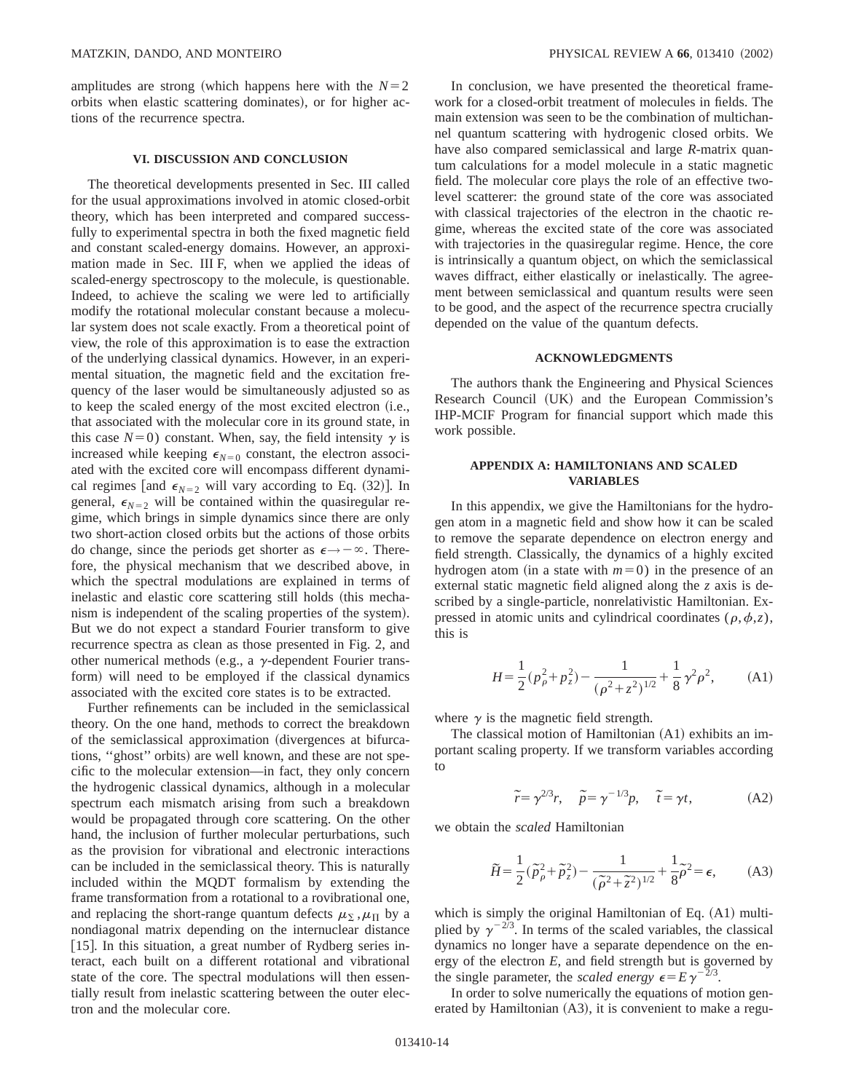amplitudes are strong (which happens here with the  $N=2$ orbits when elastic scattering dominates), or for higher actions of the recurrence spectra.

# **VI. DISCUSSION AND CONCLUSION**

The theoretical developments presented in Sec. III called for the usual approximations involved in atomic closed-orbit theory, which has been interpreted and compared successfully to experimental spectra in both the fixed magnetic field and constant scaled-energy domains. However, an approximation made in Sec. III F, when we applied the ideas of scaled-energy spectroscopy to the molecule, is questionable. Indeed, to achieve the scaling we were led to artificially modify the rotational molecular constant because a molecular system does not scale exactly. From a theoretical point of view, the role of this approximation is to ease the extraction of the underlying classical dynamics. However, in an experimental situation, the magnetic field and the excitation frequency of the laser would be simultaneously adjusted so as to keep the scaled energy of the most excited electron (i.e., that associated with the molecular core in its ground state, in this case  $N=0$ ) constant. When, say, the field intensity  $\gamma$  is increased while keeping  $\epsilon_{N=0}$  constant, the electron associated with the excited core will encompass different dynamical regimes [and  $\epsilon_{N=2}$  will vary according to Eq. (32)]. In general,  $\epsilon_{N=2}$  will be contained within the quasiregular regime, which brings in simple dynamics since there are only two short-action closed orbits but the actions of those orbits do change, since the periods get shorter as  $\epsilon \rightarrow -\infty$ . Therefore, the physical mechanism that we described above, in which the spectral modulations are explained in terms of inelastic and elastic core scattering still holds (this mechanism is independent of the scaling properties of the system). But we do not expect a standard Fourier transform to give recurrence spectra as clean as those presented in Fig. 2, and other numerical methods (e.g., a  $\gamma$ -dependent Fourier transform) will need to be employed if the classical dynamics associated with the excited core states is to be extracted.

Further refinements can be included in the semiclassical theory. On the one hand, methods to correct the breakdown of the semiclassical approximation (divergences at bifurcations, "ghost" orbits) are well known, and these are not specific to the molecular extension—in fact, they only concern the hydrogenic classical dynamics, although in a molecular spectrum each mismatch arising from such a breakdown would be propagated through core scattering. On the other hand, the inclusion of further molecular perturbations, such as the provision for vibrational and electronic interactions can be included in the semiclassical theory. This is naturally included within the MQDT formalism by extending the frame transformation from a rotational to a rovibrational one, and replacing the short-range quantum defects  $\mu_{\Sigma}$ ,  $\mu_{\Pi}$  by a nondiagonal matrix depending on the internuclear distance [15]. In this situation, a great number of Rydberg series interact, each built on a different rotational and vibrational state of the core. The spectral modulations will then essentially result from inelastic scattering between the outer electron and the molecular core.

In conclusion, we have presented the theoretical framework for a closed-orbit treatment of molecules in fields. The main extension was seen to be the combination of multichannel quantum scattering with hydrogenic closed orbits. We have also compared semiclassical and large *R*-matrix quantum calculations for a model molecule in a static magnetic field. The molecular core plays the role of an effective twolevel scatterer: the ground state of the core was associated with classical trajectories of the electron in the chaotic regime, whereas the excited state of the core was associated with trajectories in the quasiregular regime. Hence, the core is intrinsically a quantum object, on which the semiclassical waves diffract, either elastically or inelastically. The agreement between semiclassical and quantum results were seen to be good, and the aspect of the recurrence spectra crucially depended on the value of the quantum defects.

# **ACKNOWLEDGMENTS**

The authors thank the Engineering and Physical Sciences Research Council (UK) and the European Commission's IHP-MCIF Program for financial support which made this work possible.

# **APPENDIX A: HAMILTONIANS AND SCALED VARIABLES**

In this appendix, we give the Hamiltonians for the hydrogen atom in a magnetic field and show how it can be scaled to remove the separate dependence on electron energy and field strength. Classically, the dynamics of a highly excited hydrogen atom (in a state with  $m=0$ ) in the presence of an external static magnetic field aligned along the *z* axis is described by a single-particle, nonrelativistic Hamiltonian. Expressed in atomic units and cylindrical coordinates  $(\rho, \phi, z)$ , this is

$$
H = \frac{1}{2} (p_{\rho}^2 + p_z^2) - \frac{1}{(\rho^2 + z^2)^{1/2}} + \frac{1}{8} \gamma^2 \rho^2,
$$
 (A1)

where  $\gamma$  is the magnetic field strength.

The classical motion of Hamiltonian  $(A1)$  exhibits an important scaling property. If we transform variables according to

$$
\tilde{r} = \gamma^{2/3} r, \quad \tilde{p} = \gamma^{-1/3} p, \quad \tilde{t} = \gamma t,
$$
 (A2)

we obtain the *scaled* Hamiltonian

$$
\tilde{H} = \frac{1}{2} (\tilde{p}_{\rho}^2 + \tilde{p}_z^2) - \frac{1}{(\tilde{\rho}^2 + \tilde{z}^2)^{1/2}} + \frac{1}{8} \tilde{\rho}^2 = \epsilon,
$$
 (A3)

which is simply the original Hamiltonian of Eq.  $(A1)$  multiplied by  $\gamma^{-2/3}$ . In terms of the scaled variables, the classical dynamics no longer have a separate dependence on the energy of the electron *E*, and field strength but is governed by the single parameter, the *scaled energy*  $\epsilon = E\gamma^{-2/3}$ .

In order to solve numerically the equations of motion generated by Hamiltonian  $(A3)$ , it is convenient to make a regu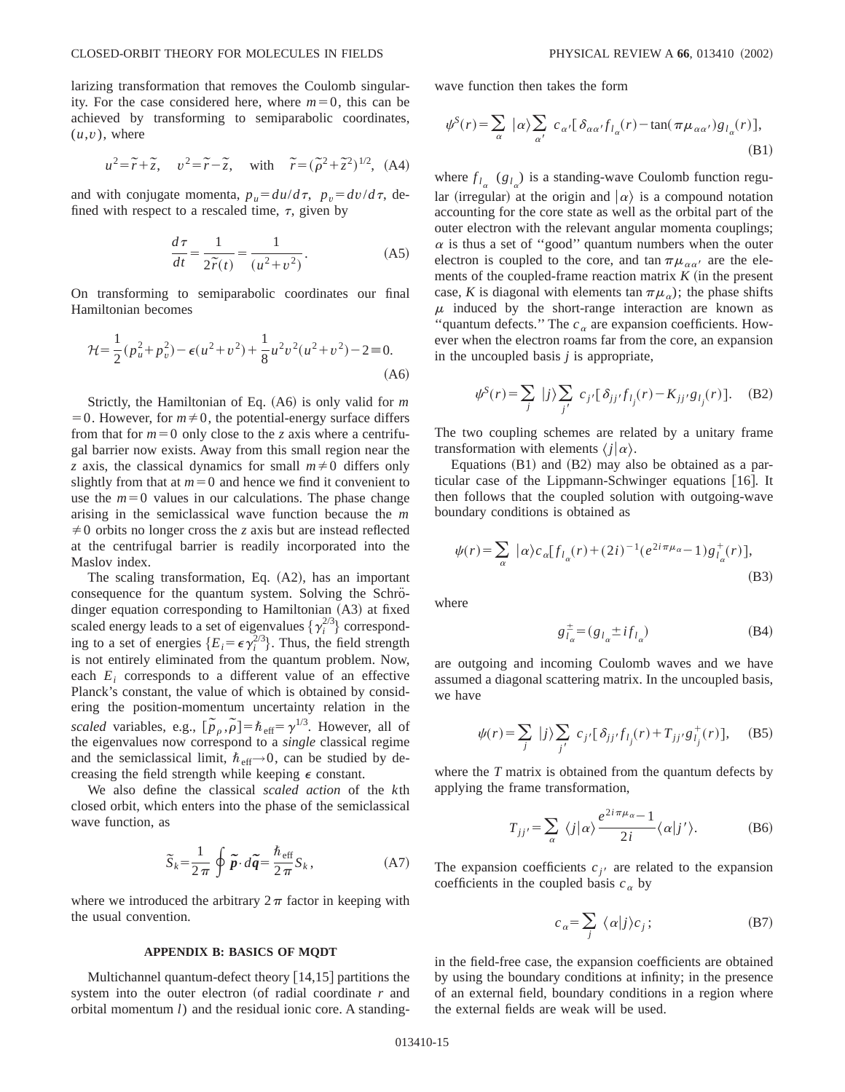larizing transformation that removes the Coulomb singularity. For the case considered here, where  $m=0$ , this can be achieved by transforming to semiparabolic coordinates,  $(u, v)$ , where

$$
u^2 = \tilde{r} + \tilde{z}
$$
,  $v^2 = \tilde{r} - \tilde{z}$ , with  $\tilde{r} = (\tilde{\rho}^2 + \tilde{z}^2)^{1/2}$ , (A4)

and with conjugate momenta,  $p_u = du/d\tau$ ,  $p_v = dv/d\tau$ , defined with respect to a rescaled time,  $\tau$ , given by

$$
\frac{d\tau}{dt} = \frac{1}{2\tilde{r}(t)} = \frac{1}{(u^2 + v^2)}.
$$
 (A5)

On transforming to semiparabolic coordinates our final Hamiltonian becomes

$$
\mathcal{H} = \frac{1}{2} (p_u^2 + p_v^2) - \epsilon (u^2 + v^2) + \frac{1}{8} u^2 v^2 (u^2 + v^2) - 2 \equiv 0.
$$
\n(A6)

Strictly, the Hamiltonian of Eq.  $(A6)$  is only valid for  $m$  $=0$ . However, for  $m \neq 0$ , the potential-energy surface differs from that for  $m=0$  only close to the *z* axis where a centrifugal barrier now exists. Away from this small region near the *z* axis, the classical dynamics for small  $m \neq 0$  differs only slightly from that at  $m=0$  and hence we find it convenient to use the  $m=0$  values in our calculations. The phase change arising in the semiclassical wave function because the *m*  $\neq 0$  orbits no longer cross the *z* axis but are instead reflected at the centrifugal barrier is readily incorporated into the Maslov index.

The scaling transformation, Eq.  $(A2)$ , has an important consequence for the quantum system. Solving the Schrodinger equation corresponding to Hamiltonian  $(A3)$  at fixed scaled energy leads to a set of eigenvalues  $\{\gamma_i^{2/3}\}$  corresponding to a set of energies  $\{E_i = \epsilon \gamma_i^{2/3}\}\.$  Thus, the field strength is not entirely eliminated from the quantum problem. Now, each *Ei* corresponds to a different value of an effective Planck's constant, the value of which is obtained by considering the position-momentum uncertainty relation in the *scaled* variables, e.g.,  $[\tilde{p}_\rho, \tilde{\rho}] = \hbar_{\text{eff}} = \gamma^{1/3}$ . However, all of the eigenvalues now correspond to a *single* classical regime and the semiclassical limit,  $\hbar$ <sub>eff</sub> $\rightarrow$ 0, can be studied by decreasing the field strength while keeping  $\epsilon$  constant.

We also define the classical *scaled action* of the *k*th closed orbit, which enters into the phase of the semiclassical wave function, as

$$
\widetilde{S}_k = \frac{1}{2\pi} \oint \widetilde{p} \cdot d\widetilde{q} = \frac{\hbar_{\text{eff}}}{2\pi} S_k, \tag{A7}
$$

where we introduced the arbitrary  $2\pi$  factor in keeping with the usual convention.

## **APPENDIX B: BASICS OF MQDT**

Multichannel quantum-defect theory  $[14,15]$  partitions the system into the outer electron (of radial coordinate  $r$  and orbital momentum *l*) and the residual ionic core. A standingwave function then takes the form

$$
\psi^{S}(r) = \sum_{\alpha} |\alpha\rangle \sum_{\alpha'} c_{\alpha'} [\delta_{\alpha\alpha'} f_{l_{\alpha}}(r) - \tan(\pi \mu_{\alpha\alpha'}) g_{l_{\alpha}}(r)],
$$
\n(B1)

where  $f_{l_{\alpha}}(g_{l_{\alpha}})$  is a standing-wave Coulomb function regular (irregular) at the origin and  $|\alpha\rangle$  is a compound notation accounting for the core state as well as the orbital part of the outer electron with the relevant angular momenta couplings;  $\alpha$  is thus a set of "good" quantum numbers when the outer electron is coupled to the core, and tan  $\pi\mu_{\alpha\alpha}$  are the elements of the coupled-frame reaction matrix  $K$  (in the present case, *K* is diagonal with elements tan  $\pi\mu_a$ ); the phase shifts  $\mu$  induced by the short-range interaction are known as "quantum defects." The  $c_{\alpha}$  are expansion coefficients. However when the electron roams far from the core, an expansion in the uncoupled basis *j* is appropriate,

$$
\psi^S(r) = \sum_j |j\rangle \sum_{j'} c_{j'} [\delta_{jj'} f_{l_j}(r) - K_{jj'} g_{l_j}(r)].
$$
 (B2)

The two coupling schemes are related by a unitary frame transformation with elements  $\langle j | \alpha \rangle$ .

Equations  $(B1)$  and  $(B2)$  may also be obtained as a particular case of the Lippmann-Schwinger equations [16]. It then follows that the coupled solution with outgoing-wave boundary conditions is obtained as

$$
\psi(r) = \sum_{\alpha} |\alpha\rangle c_{\alpha} [f_{l_{\alpha}}(r) + (2i)^{-1} (e^{2i\pi\mu_{\alpha}} - 1)g_{l_{\alpha}}^{+}(r)],
$$
\n(B3)

where

$$
g_{l_{\alpha}}^{\pm} = (g_{l_{\alpha}} \pm i f_{l_{\alpha}}) \tag{B4}
$$

are outgoing and incoming Coulomb waves and we have assumed a diagonal scattering matrix. In the uncoupled basis, we have

$$
\psi(r) = \sum_{j} |j\rangle \sum_{j'} c_{j'} [\delta_{jj'} f_{l_j}(r) + T_{jj'} g_{l_j}^+(r)], \quad (B5)
$$

where the *T* matrix is obtained from the quantum defects by applying the frame transformation,

$$
T_{jj'} = \sum_{\alpha} \langle j | \alpha \rangle \frac{e^{2i\pi\mu_{\alpha}} - 1}{2i} \langle \alpha | j' \rangle.
$$
 (B6)

The expansion coefficients  $c_{i}$  are related to the expansion coefficients in the coupled basis  $c_{\alpha}$  by

$$
c_{\alpha} = \sum_{j} \langle \alpha | j \rangle c_{j};\tag{B7}
$$

in the field-free case, the expansion coefficients are obtained by using the boundary conditions at infinity; in the presence of an external field, boundary conditions in a region where the external fields are weak will be used.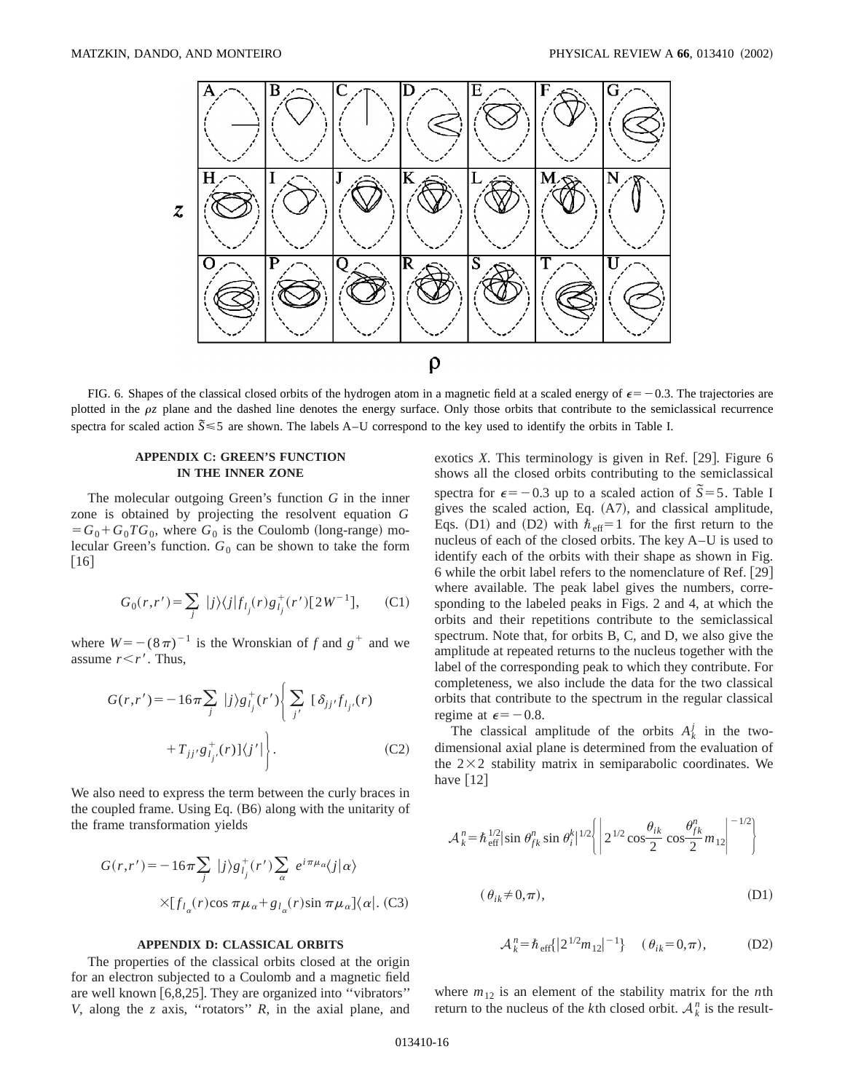

FIG. 6. Shapes of the classical closed orbits of the hydrogen atom in a magnetic field at a scaled energy of  $\epsilon = -0.3$ . The trajectories are plotted in the  $\rho z$  plane and the dashed line denotes the energy surface. Only those orbits that contribute to the semiclassical recurrence spectra for scaled action  $\tilde{S} \le 5$  are shown. The labels A–U correspond to the key used to identify the orbits in Table I.

# **APPENDIX C: GREEN'S FUNCTION IN THE INNER ZONE**

The molecular outgoing Green's function *G* in the inner zone is obtained by projecting the resolvent equation *G*  $=G_0+G_0TG_0$ , where  $G_0$  is the Coulomb (long-range) molecular Green's function.  $G_0$  can be shown to take the form  $\lfloor 16 \rfloor$ 

$$
G_0(r,r') = \sum_j |j\rangle\langle j|f_{l_j}(r)g_{l_j}^+(r')[2W^{-1}], \quad (C1)
$$

where  $W = -(8\pi)^{-1}$  is the Wronskian of *f* and *g*<sup>+</sup> and we assume  $r < r'$ . Thus,

$$
G(r,r') = -16\pi \sum_{j} |j\rangle g_{l_{j}}^{+}(r') \left\{ \sum_{j'} [\delta_{jj'} f_{l_{j'}}(r) + T_{jj'} g_{l_{j'}}^{+}(r)]\langle j'|\right\}.
$$
 (C2)

We also need to express the term between the curly braces in the coupled frame. Using Eq.  $(B6)$  along with the unitarity of the frame transformation yields

$$
G(r,r') = -16\pi \sum_{j} |j\rangle g_{l_j}^+(r') \sum_{\alpha} e^{i\pi \mu_{\alpha}} \langle j | \alpha \rangle
$$

$$
\times [f_{l_{\alpha}}(r) \cos \pi \mu_{\alpha} + g_{l_{\alpha}}(r) \sin \pi \mu_{\alpha}] \langle \alpha | . (C3)
$$

# **APPENDIX D: CLASSICAL ORBITS**

The properties of the classical orbits closed at the origin for an electron subjected to a Coulomb and a magnetic field are well known  $[6,8,25]$ . They are organized into "vibrators" *V*, along the *z* axis, ''rotators'' *R*, in the axial plane, and exotics *X*. This terminology is given in Ref. [29]. Figure 6 shows all the closed orbits contributing to the semiclassical spectra for  $\epsilon = -0.3$  up to a scaled action of  $\tilde{S} = 5$ . Table I gives the scaled action, Eq.  $(A7)$ , and classical amplitude, Eqs. (D1) and (D2) with  $\hbar$ <sub>eff</sub>=1 for the first return to the nucleus of each of the closed orbits. The key A–U is used to identify each of the orbits with their shape as shown in Fig. 6 while the orbit label refers to the nomenclature of Ref.  $[29]$ where available. The peak label gives the numbers, corresponding to the labeled peaks in Figs. 2 and 4, at which the orbits and their repetitions contribute to the semiclassical spectrum. Note that, for orbits B, C, and D, we also give the amplitude at repeated returns to the nucleus together with the label of the corresponding peak to which they contribute. For completeness, we also include the data for the two classical orbits that contribute to the spectrum in the regular classical regime at  $\epsilon=-0.8$ .

The classical amplitude of the orbits  $A_k^j$  in the twodimensional axial plane is determined from the evaluation of the  $2\times2$  stability matrix in semiparabolic coordinates. We have  $\lceil 12 \rceil$ 

$$
\mathcal{A}_{k}^{n} = \hbar_{\text{eff}}^{1/2} |\sin \theta_{fk}^{n} \sin \theta_{i}^{k}|^{1/2} \left\{ \left| 2^{1/2} \cos \frac{\theta_{ik}}{2} \cos \frac{\theta_{fk}^{n}}{2} m_{12} \right|^{-1/2} \right\}
$$
  

$$
(\theta_{ik} \neq 0, \pi), \qquad (D1)
$$

$$
\mathcal{A}_k^n = \hbar_{\text{eff}} \{ |2^{1/2} m_{12}|^{-1} \} \quad (\theta_{ik} = 0, \pi), \tag{D2}
$$

where  $m_{12}$  is an element of the stability matrix for the *n*th return to the nucleus of the *k*<sup>th</sup> closed orbit.  $A_k^n$  is the result